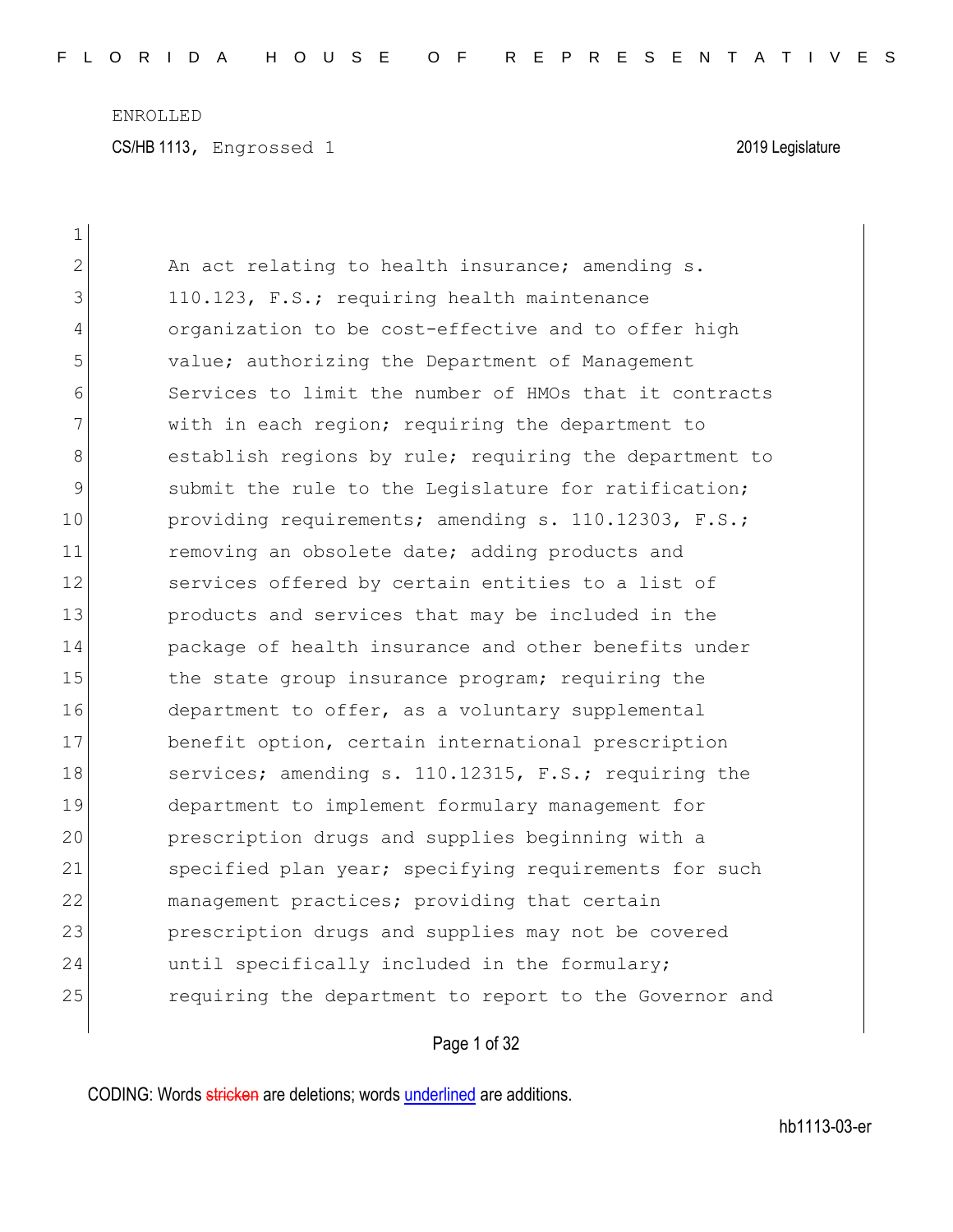| $\mathbf 1$   |                                                        |
|---------------|--------------------------------------------------------|
| $\mathbf{2}$  | An act relating to health insurance; amending s.       |
| 3             | 110.123, F.S.; requiring health maintenance            |
| 4             | organization to be cost-effective and to offer high    |
| 5             | value; authorizing the Department of Management        |
| 6             | Services to limit the number of HMOs that it contracts |
| 7             | with in each region; requiring the department to       |
| 8             | establish regions by rule; requiring the department to |
| $\mathcal{G}$ | submit the rule to the Legislature for ratification;   |
| 10            | providing requirements; amending s. 110.12303, F.S.;   |
| 11            | removing an obsolete date; adding products and         |
| 12            | services offered by certain entities to a list of      |
| 13            | products and services that may be included in the      |
| 14            | package of health insurance and other benefits under   |
| 15            | the state group insurance program; requiring the       |
| 16            | department to offer, as a voluntary supplemental       |
| 17            | benefit option, certain international prescription     |
| 18            | services; amending s. 110.12315, F.S.; requiring the   |
| 19            | department to implement formulary management for       |
| 20            | prescription drugs and supplies beginning with a       |
| 21            | specified plan year; specifying requirements for such  |
| 22            | management practices; providing that certain           |
| 23            | prescription drugs and supplies may not be covered     |
| 24            | until specifically included in the formulary;          |
| 25            | requiring the department to report to the Governor and |

# Page 1 of 32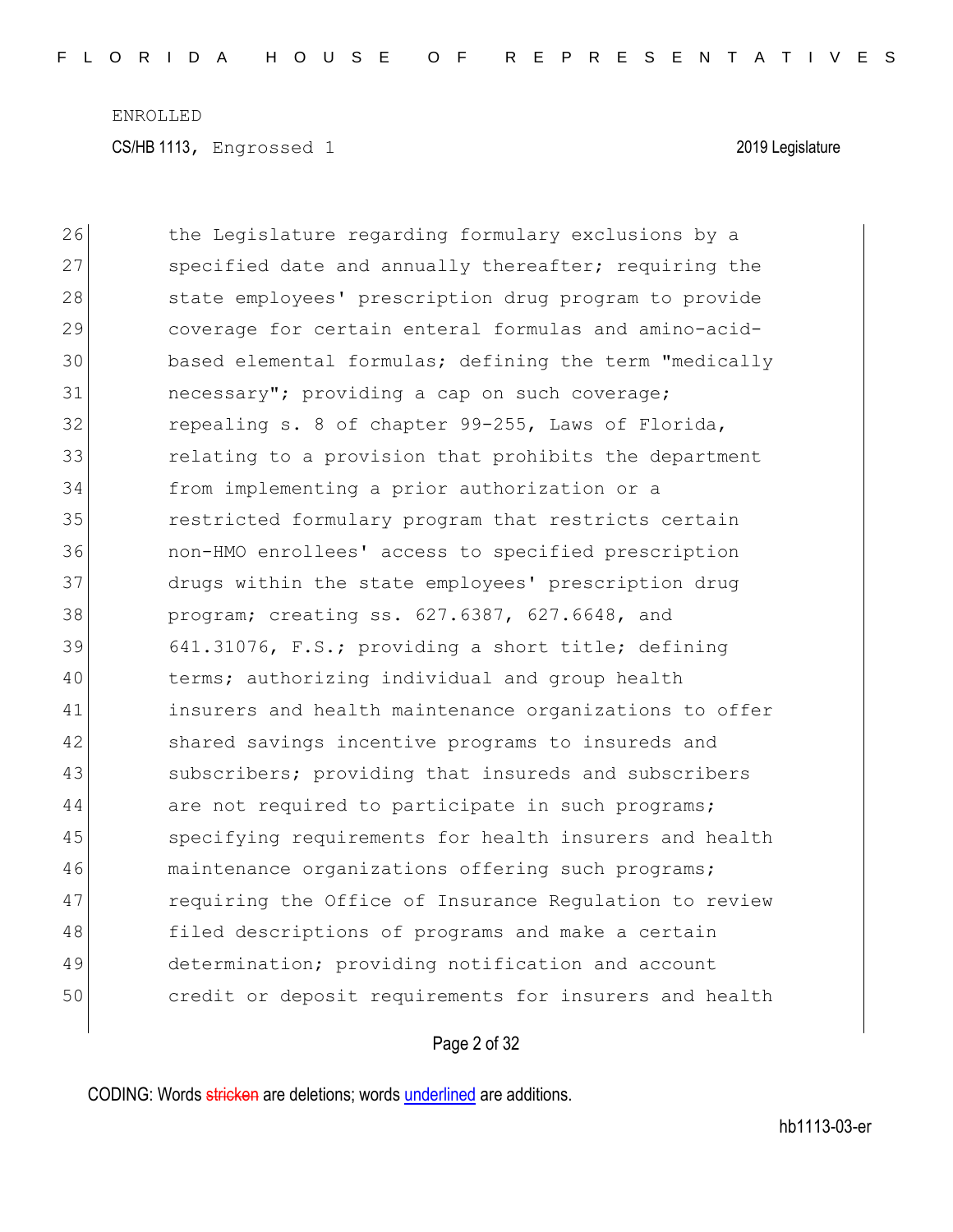26 the Legislature regarding formulary exclusions by a 27 specified date and annually thereafter; requiring the 28 state employees' prescription drug program to provide 29 coverage for certain enteral formulas and amino-acid-30 based elemental formulas; defining the term "medically 31 necessary"; providing a cap on such coverage; 32 repealing s. 8 of chapter 99-255, Laws of Florida, 33 **131** relating to a provision that prohibits the department 34 from implementing a prior authorization or a 35 restricted formulary program that restricts certain 36 non-HMO enrollees' access to specified prescription 37 drugs within the state employees' prescription drug 38 program; creating ss. 627.6387, 627.6648, and 39 641.31076, F.S.; providing a short title; defining 40 terms; authorizing individual and group health 41 insurers and health maintenance organizations to offer 42 shared savings incentive programs to insureds and 43 subscribers; providing that insureds and subscribers 44 are not required to participate in such programs; 45 specifying requirements for health insurers and health 46 maintenance organizations offering such programs; 47 requiring the Office of Insurance Regulation to review 48 filed descriptions of programs and make a certain 49 determination; providing notification and account 50 credit or deposit requirements for insurers and health

#### Page 2 of 32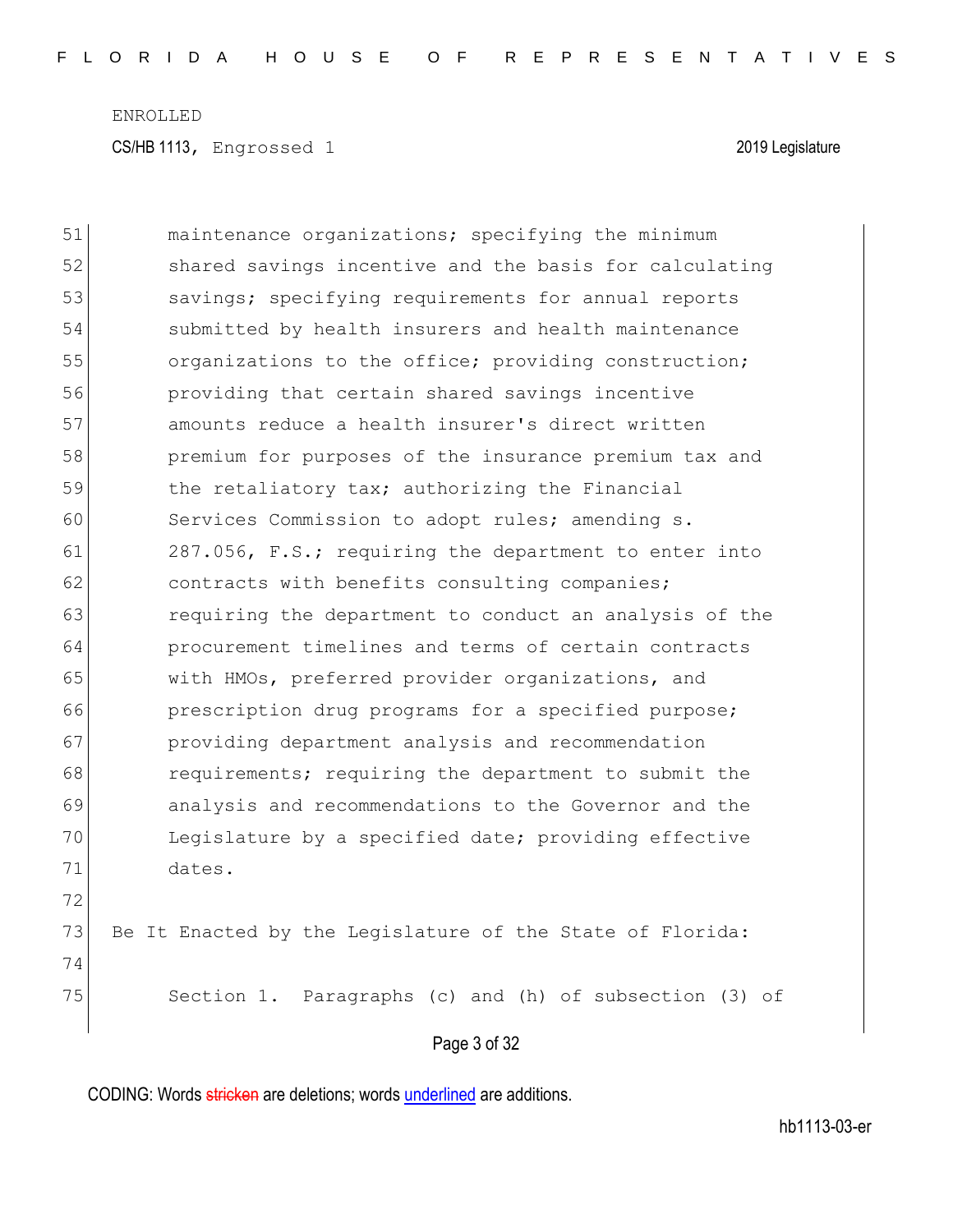Page 3 of 32 51 maintenance organizations; specifying the minimum 52 shared savings incentive and the basis for calculating 53 savings; specifying requirements for annual reports 54 submitted by health insurers and health maintenance 55 organizations to the office; providing construction; 56 providing that certain shared savings incentive 57 amounts reduce a health insurer's direct written 58 premium for purposes of the insurance premium tax and 59 the retaliatory tax; authorizing the Financial 60 Services Commission to adopt rules; amending s. 61 287.056, F.S.; requiring the department to enter into 62 contracts with benefits consulting companies; 63 **requiring the department to conduct an analysis of the** 64 procurement timelines and terms of certain contracts 65 with HMOs, preferred provider organizations, and 66 prescription drug programs for a specified purpose; 67 providing department analysis and recommendation 68 **requirements;** requiring the department to submit the 69 analysis and recommendations to the Governor and the 70 Legislature by a specified date; providing effective 71 dates. 72 73 Be It Enacted by the Legislature of the State of Florida: 74 75 Section 1. Paragraphs (c) and (h) of subsection (3) of

CODING: Words stricken are deletions; words underlined are additions.

hb1113-03-er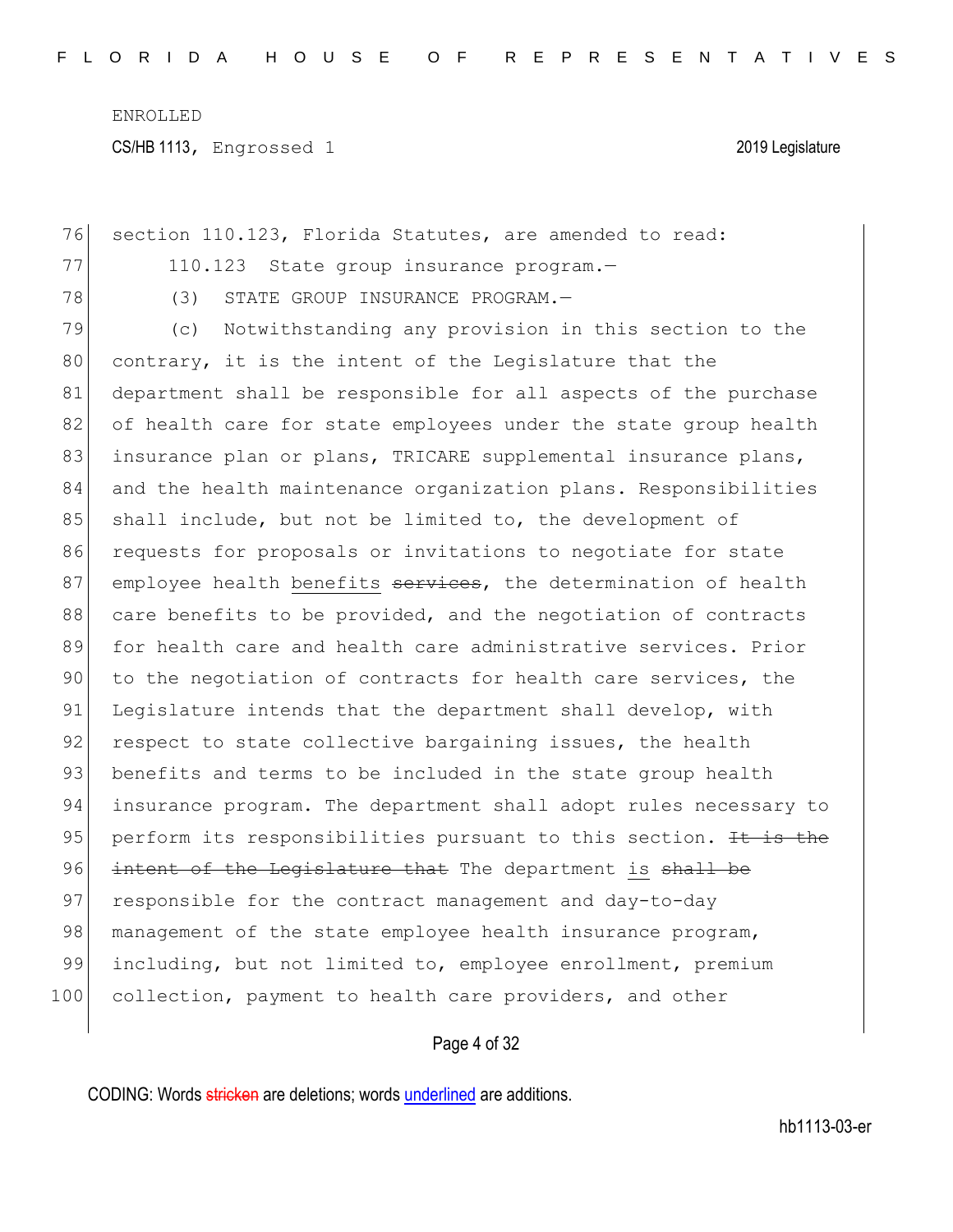| 76  | section 110.123, Florida Statutes, are amended to read:          |
|-----|------------------------------------------------------------------|
| 77  | 110.123 State group insurance program.-                          |
| 78  | (3)<br>STATE GROUP INSURANCE PROGRAM.-                           |
| 79  | Notwithstanding any provision in this section to the<br>(C)      |
| 80  | contrary, it is the intent of the Legislature that the           |
| 81  | department shall be responsible for all aspects of the purchase  |
| 82  | of health care for state employees under the state group health  |
| 83  | insurance plan or plans, TRICARE supplemental insurance plans,   |
| 84  | and the health maintenance organization plans. Responsibilities  |
| 85  | shall include, but not be limited to, the development of         |
| 86  | requests for proposals or invitations to negotiate for state     |
| 87  | employee health benefits services, the determination of health   |
| 88  | care benefits to be provided, and the negotiation of contracts   |
| 89  | for health care and health care administrative services. Prior   |
| 90  | to the negotiation of contracts for health care services, the    |
| 91  | Legislature intends that the department shall develop, with      |
| 92  | respect to state collective bargaining issues, the health        |
| 93  | benefits and terms to be included in the state group health      |
| 94  | insurance program. The department shall adopt rules necessary to |
| 95  | perform its responsibilities pursuant to this section. It is the |
| 96  | intent of the Legislature that The department is shall be        |
| 97  | responsible for the contract management and day-to-day           |
| 98  | management of the state employee health insurance program,       |
| 99  | including, but not limited to, employee enrollment, premium      |
| 100 | collection, payment to health care providers, and other          |

### Page 4 of 32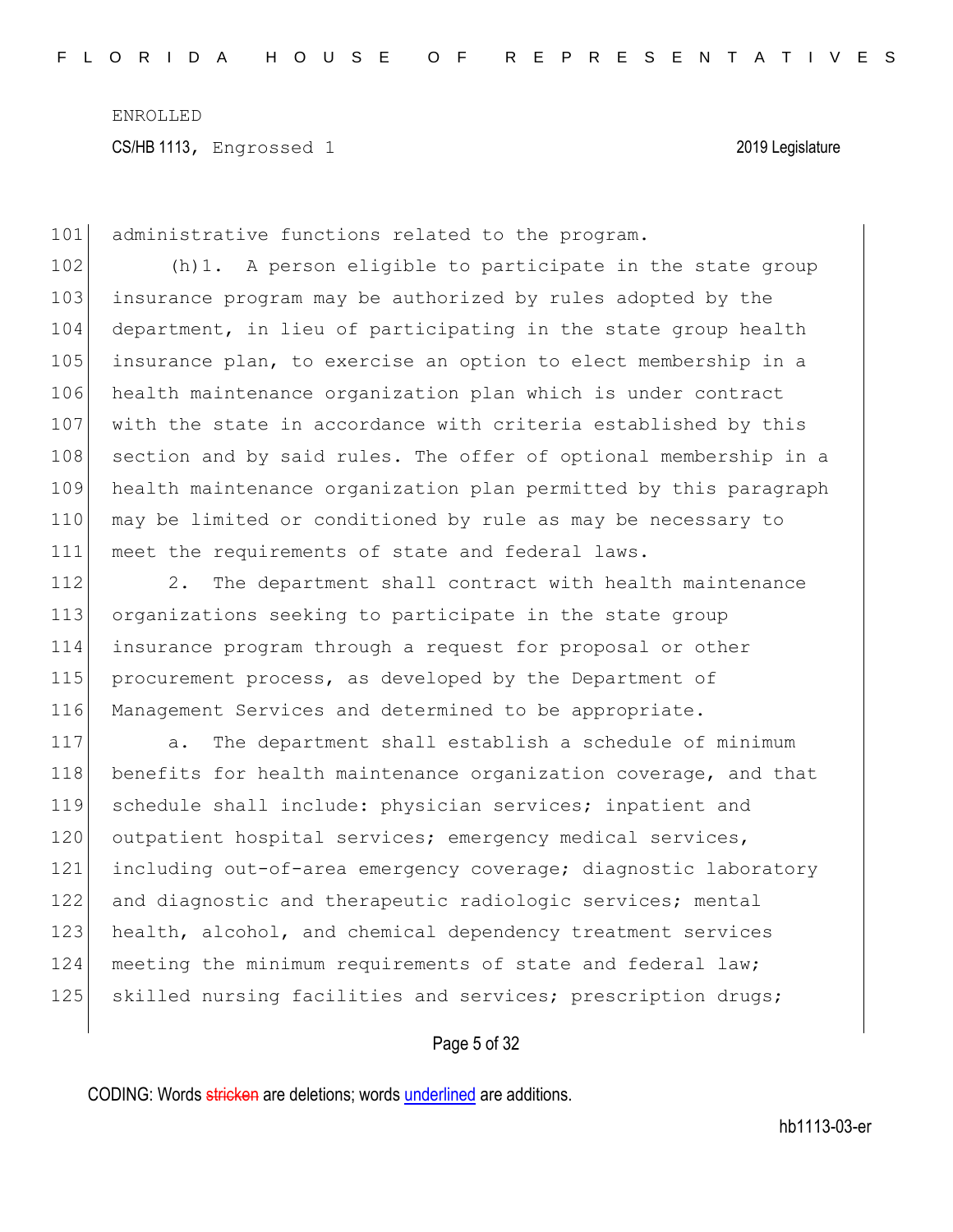101 administrative functions related to the program.

102 (h)1. A person eligible to participate in the state group 103 insurance program may be authorized by rules adopted by the 104 department, in lieu of participating in the state group health 105 insurance plan, to exercise an option to elect membership in a 106 health maintenance organization plan which is under contract 107 with the state in accordance with criteria established by this 108 section and by said rules. The offer of optional membership in a 109 health maintenance organization plan permitted by this paragraph 110 may be limited or conditioned by rule as may be necessary to 111 meet the requirements of state and federal laws.

112 2. The department shall contract with health maintenance organizations seeking to participate in the state group insurance program through a request for proposal or other procurement process, as developed by the Department of Management Services and determined to be appropriate.

117 a. The department shall establish a schedule of minimum 118 benefits for health maintenance organization coverage, and that 119 schedule shall include: physician services; inpatient and 120 outpatient hospital services; emergency medical services, 121 including out-of-area emergency coverage; diagnostic laboratory 122 and diagnostic and therapeutic radiologic services; mental 123 health, alcohol, and chemical dependency treatment services 124 meeting the minimum requirements of state and federal law; 125 Skilled nursing facilities and services; prescription drugs;

#### Page 5 of 32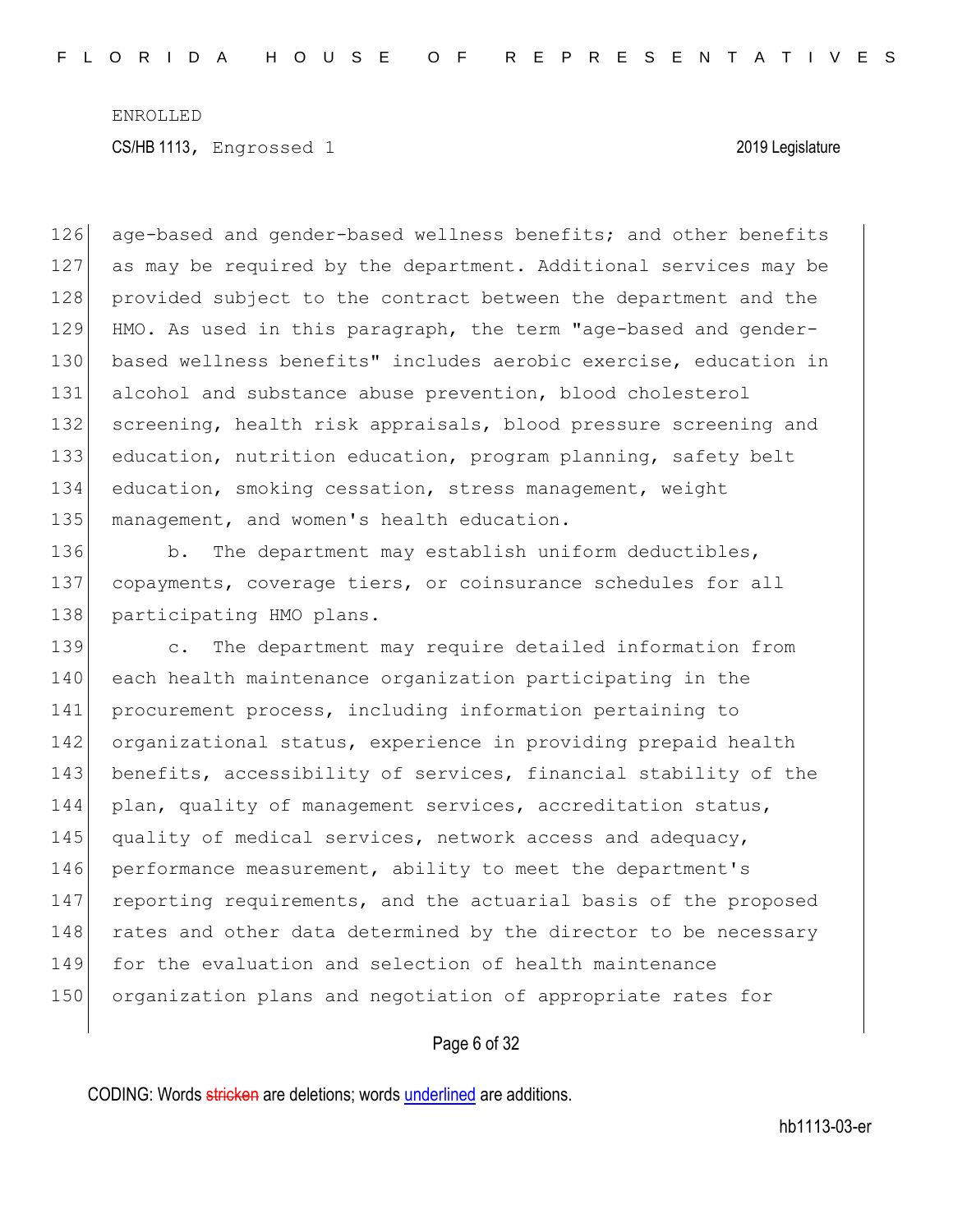126 age-based and gender-based wellness benefits; and other benefits 127 as may be required by the department. Additional services may be 128 provided subject to the contract between the department and the 129 HMO. As used in this paragraph, the term "age-based and gender-130 based wellness benefits" includes aerobic exercise, education in 131 alcohol and substance abuse prevention, blood cholesterol 132 screening, health risk appraisals, blood pressure screening and 133 education, nutrition education, program planning, safety belt 134 education, smoking cessation, stress management, weight 135 management, and women's health education.

136 b. The department may establish uniform deductibles, 137 copayments, coverage tiers, or coinsurance schedules for all 138 participating HMO plans.

139 c. The department may require detailed information from 140 each health maintenance organization participating in the 141 procurement process, including information pertaining to 142 organizational status, experience in providing prepaid health 143 benefits, accessibility of services, financial stability of the 144 plan, quality of management services, accreditation status, 145 quality of medical services, network access and adequacy, 146 performance measurement, ability to meet the department's 147 reporting requirements, and the actuarial basis of the proposed 148 rates and other data determined by the director to be necessary 149 for the evaluation and selection of health maintenance 150 organization plans and negotiation of appropriate rates for

### Page 6 of 32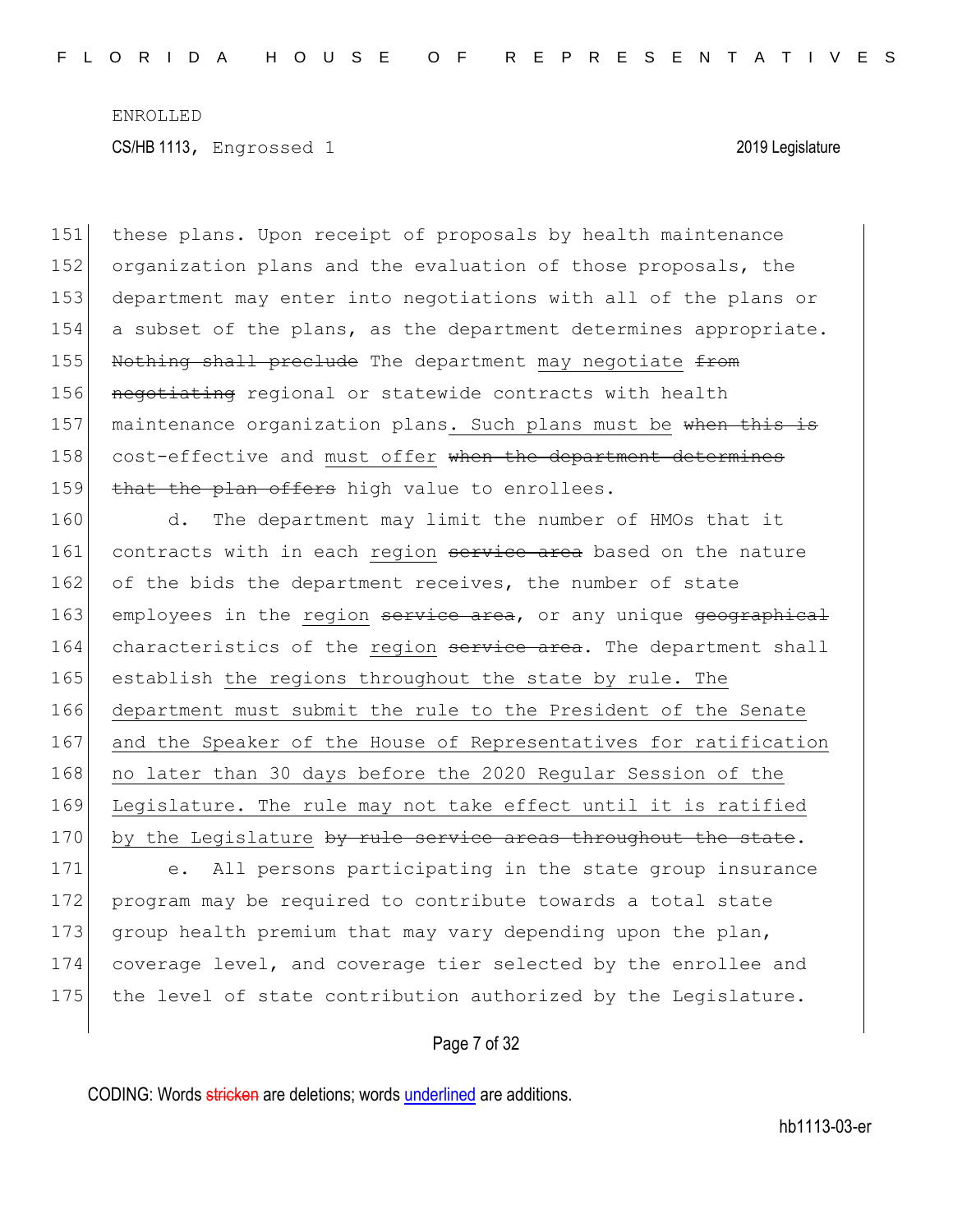151 these plans. Upon receipt of proposals by health maintenance 152 organization plans and the evaluation of those proposals, the 153 department may enter into negotiations with all of the plans or 154 a subset of the plans, as the department determines appropriate. 155 Nothing shall preclude The department may negotiate from 156 negotiating regional or statewide contracts with health 157 maintenance organization plans. Such plans must be when this is 158 cost-effective and must offer when the department determines 159 that the plan offers high value to enrollees.

160 d. The department may limit the number of HMOs that it 161 contracts with in each region service area based on the nature 162 of the bids the department receives, the number of state 163 employees in the region service area, or any unique geographical 164 characteristics of the region service area. The department shall 165 establish the regions throughout the state by rule. The 166 department must submit the rule to the President of the Senate 167 and the Speaker of the House of Representatives for ratification 168 no later than 30 days before the 2020 Regular Session of the 169 Legislature. The rule may not take effect until it is ratified 170 by the Legislature by rule service areas throughout the state.

171 e. All persons participating in the state group insurance 172 program may be required to contribute towards a total state 173 group health premium that may vary depending upon the plan, 174 coverage level, and coverage tier selected by the enrollee and 175 the level of state contribution authorized by the Legislature.

#### Page 7 of 32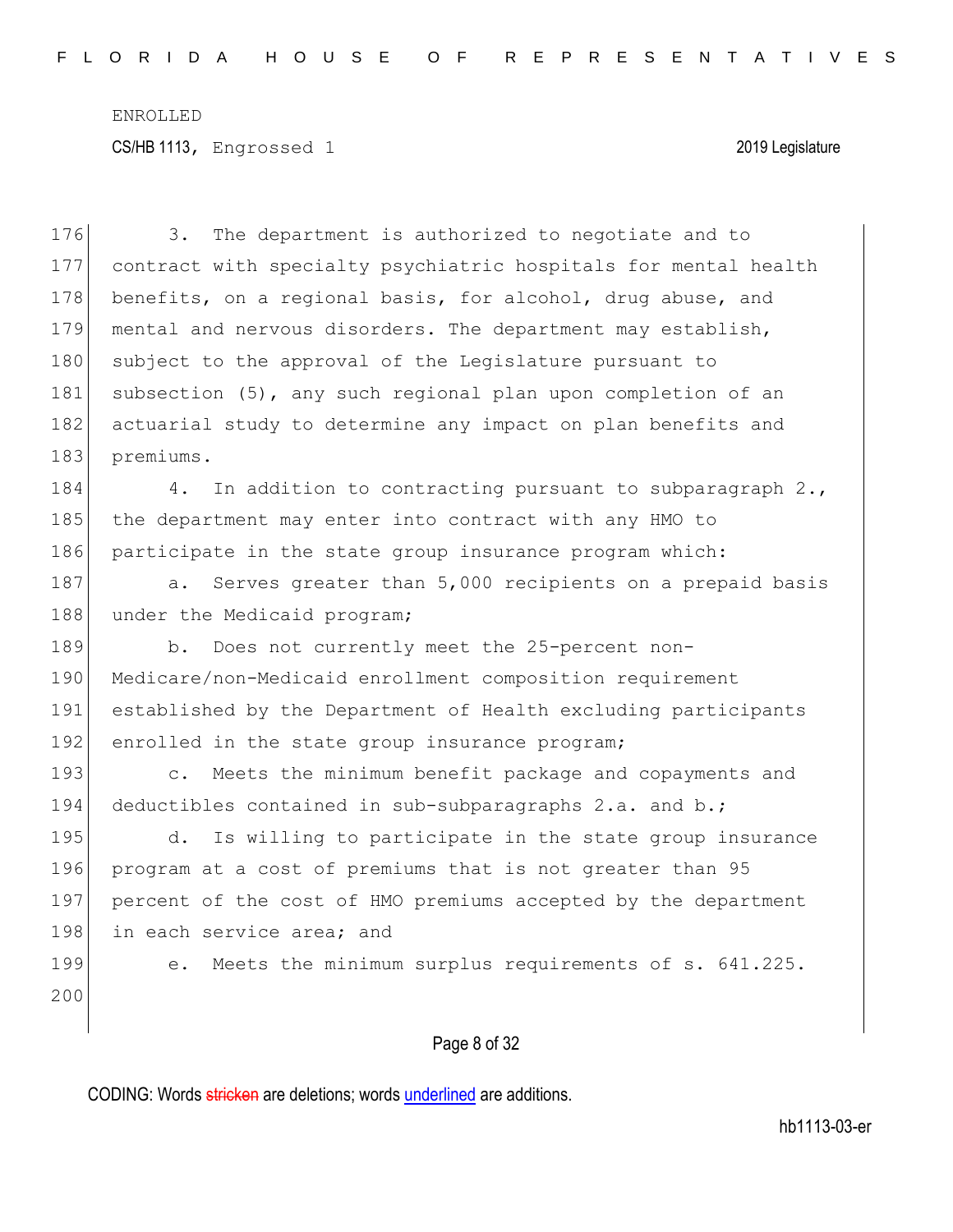Page 8 of 32 176 3. The department is authorized to negotiate and to 177 contract with specialty psychiatric hospitals for mental health 178 benefits, on a regional basis, for alcohol, drug abuse, and 179 mental and nervous disorders. The department may establish, 180 subject to the approval of the Legislature pursuant to 181 subsection (5), any such regional plan upon completion of an 182 actuarial study to determine any impact on plan benefits and 183 premiums. 184  $\vert$  4. In addition to contracting pursuant to subparagraph 2., 185 the department may enter into contract with any HMO to 186 participate in the state group insurance program which: 187 a. Serves greater than 5,000 recipients on a prepaid basis 188 under the Medicaid program; 189 b. Does not currently meet the 25-percent non-190 Medicare/non-Medicaid enrollment composition requirement 191 established by the Department of Health excluding participants 192 enrolled in the state group insurance program; 193 c. Meets the minimum benefit package and copayments and 194 deductibles contained in sub-subparagraphs 2.a. and b.; 195 d. Is willing to participate in the state group insurance 196 program at a cost of premiums that is not greater than 95 197 percent of the cost of HMO premiums accepted by the department 198 in each service area; and 199 e. Meets the minimum surplus requirements of s. 641.225. 200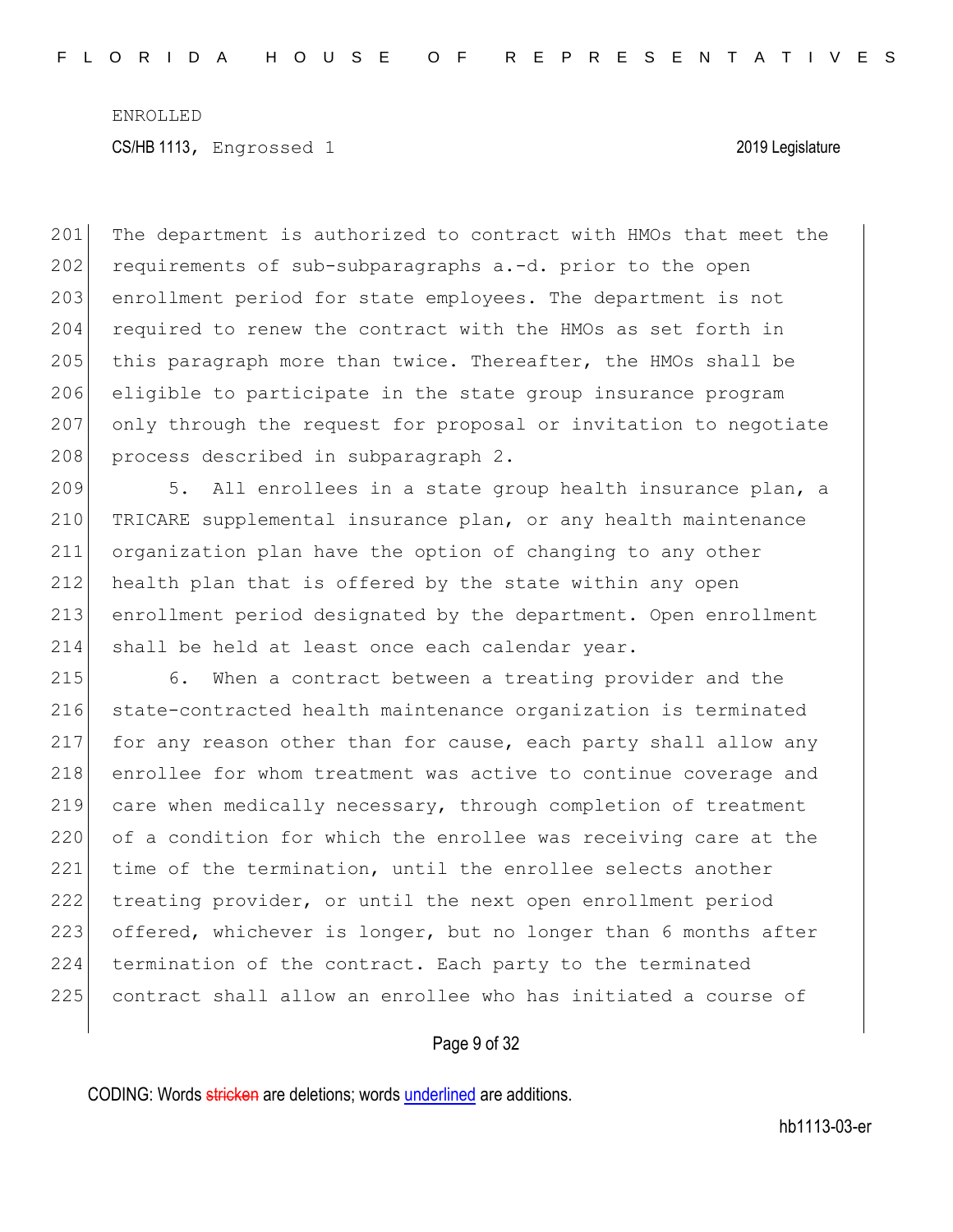201 The department is authorized to contract with HMOs that meet the 202 requirements of sub-subparagraphs a.-d. prior to the open 203 enrollment period for state employees. The department is not 204 required to renew the contract with the HMOs as set forth in 205 this paragraph more than twice. Thereafter, the HMOs shall be 206 eligible to participate in the state group insurance program 207 only through the request for proposal or invitation to negotiate 208 process described in subparagraph 2.

209 5. All enrollees in a state group health insurance plan, a TRICARE supplemental insurance plan, or any health maintenance organization plan have the option of changing to any other 212 health plan that is offered by the state within any open enrollment period designated by the department. Open enrollment shall be held at least once each calendar year.

 6. When a contract between a treating provider and the state-contracted health maintenance organization is terminated for any reason other than for cause, each party shall allow any 218 enrollee for whom treatment was active to continue coverage and care when medically necessary, through completion of treatment 220 of a condition for which the enrollee was receiving care at the 221 time of the termination, until the enrollee selects another treating provider, or until the next open enrollment period 223 offered, whichever is longer, but no longer than 6 months after termination of the contract. Each party to the terminated contract shall allow an enrollee who has initiated a course of

#### Page 9 of 32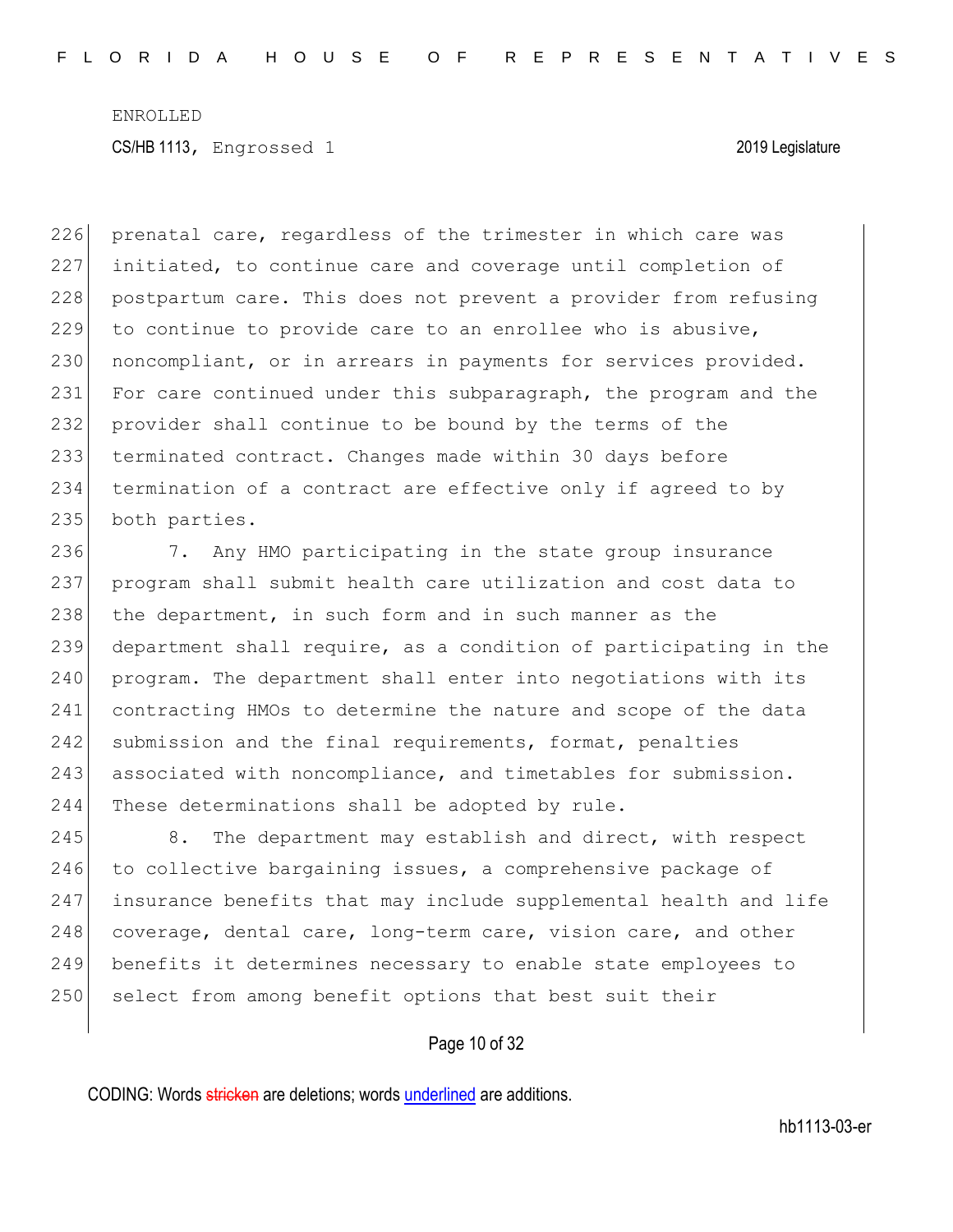226 prenatal care, regardless of the trimester in which care was 227 initiated, to continue care and coverage until completion of 228 postpartum care. This does not prevent a provider from refusing 229 to continue to provide care to an enrollee who is abusive, 230 noncompliant, or in arrears in payments for services provided. 231 For care continued under this subparagraph, the program and the 232 provider shall continue to be bound by the terms of the 233 terminated contract. Changes made within 30 days before 234 termination of a contract are effective only if agreed to by 235 both parties.

236 7. Any HMO participating in the state group insurance 237 program shall submit health care utilization and cost data to 238 the department, in such form and in such manner as the 239 department shall require, as a condition of participating in the 240 program. The department shall enter into negotiations with its 241 contracting HMOs to determine the nature and scope of the data 242 submission and the final requirements, format, penalties 243 associated with noncompliance, and timetables for submission. 244 These determinations shall be adopted by rule.

245 8. The department may establish and direct, with respect 246 to collective bargaining issues, a comprehensive package of 247 insurance benefits that may include supplemental health and life 248 coverage, dental care, long-term care, vision care, and other 249 benefits it determines necessary to enable state employees to 250 select from among benefit options that best suit their

### Page 10 of 32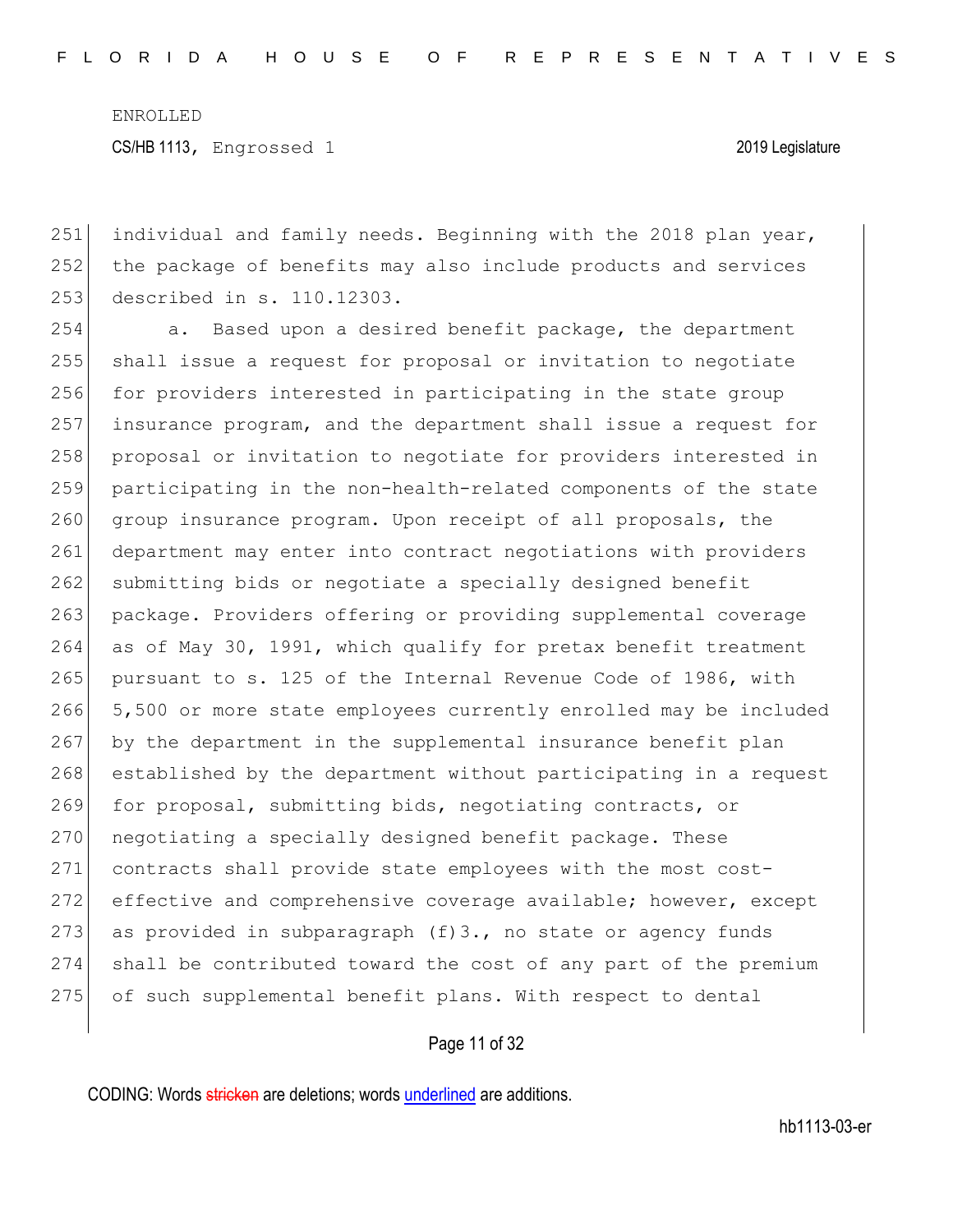CS/HB 1113, Engrossed 1 2019 Legislature

251 individual and family needs. Beginning with the 2018 plan year, 252 the package of benefits may also include products and services 253 described in s. 110.12303.

254 a. Based upon a desired benefit package, the department 255 shall issue a request for proposal or invitation to negotiate 256 for providers interested in participating in the state group 257 insurance program, and the department shall issue a request for 258 proposal or invitation to negotiate for providers interested in 259 participating in the non-health-related components of the state 260 group insurance program. Upon receipt of all proposals, the 261 department may enter into contract negotiations with providers 262 submitting bids or negotiate a specially designed benefit 263 package. Providers offering or providing supplemental coverage 264 as of May 30, 1991, which qualify for pretax benefit treatment 265 pursuant to s. 125 of the Internal Revenue Code of 1986, with 266 5,500 or more state employees currently enrolled may be included 267 by the department in the supplemental insurance benefit plan 268 established by the department without participating in a request 269 for proposal, submitting bids, negotiating contracts, or 270 negotiating a specially designed benefit package. These 271 contracts shall provide state employees with the most cost-272 effective and comprehensive coverage available; however, except 273 as provided in subparagraph  $(f)$ 3., no state or agency funds 274 shall be contributed toward the cost of any part of the premium 275 of such supplemental benefit plans. With respect to dental

Page 11 of 32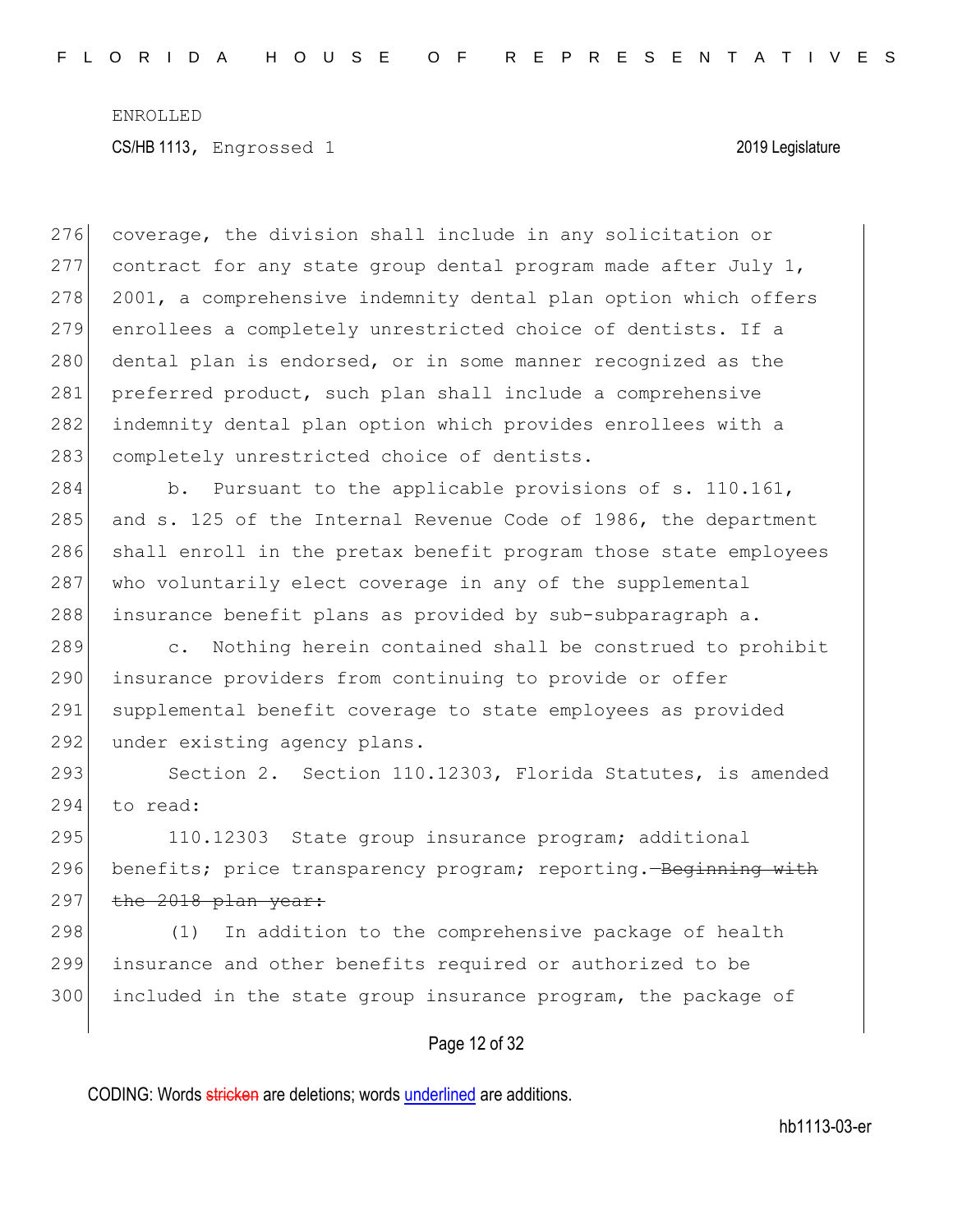276 coverage, the division shall include in any solicitation or 277 contract for any state group dental program made after July 1, 278 2001, a comprehensive indemnity dental plan option which offers 279 enrollees a completely unrestricted choice of dentists. If a 280 dental plan is endorsed, or in some manner recognized as the 281 preferred product, such plan shall include a comprehensive 282 indemnity dental plan option which provides enrollees with a 283 completely unrestricted choice of dentists. 284 b. Pursuant to the applicable provisions of s. 110.161, 285 and s. 125 of the Internal Revenue Code of 1986, the department 286 shall enroll in the pretax benefit program those state employees 287 who voluntarily elect coverage in any of the supplemental 288 insurance benefit plans as provided by sub-subparagraph a. 289 c. Nothing herein contained shall be construed to prohibit 290 insurance providers from continuing to provide or offer 291 supplemental benefit coverage to state employees as provided 292 under existing agency plans. 293 Section 2. Section 110.12303, Florida Statutes, is amended 294 to read: 295 110.12303 State group insurance program; additional 296 benefits; price transparency program; reporting. Beginning with  $297$  the 2018 plan year:  $298$  (1) In addition to the comprehensive package of health 299 insurance and other benefits required or authorized to be 300 included in the state group insurance program, the package of

### Page 12 of 32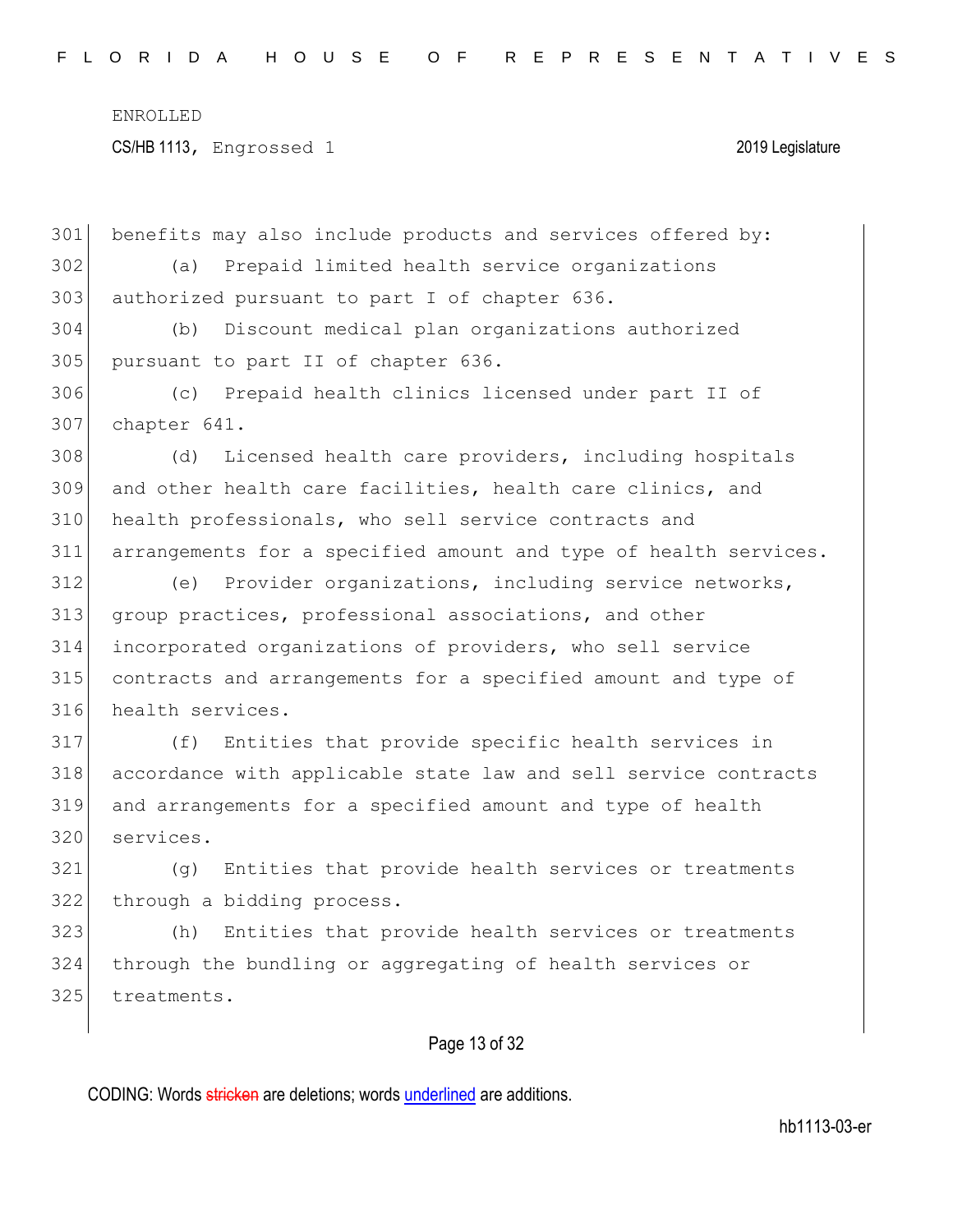CS/HB 1113, Engrossed 1 2019 Legislature

 benefits may also include products and services offered by: (a) Prepaid limited health service organizations 303 authorized pursuant to part I of chapter 636.

 (b) Discount medical plan organizations authorized 305 pursuant to part II of chapter 636.

 (c) Prepaid health clinics licensed under part II of chapter 641.

308 (d) Licensed health care providers, including hospitals and other health care facilities, health care clinics, and health professionals, who sell service contracts and arrangements for a specified amount and type of health services.

 (e) Provider organizations, including service networks, group practices, professional associations, and other incorporated organizations of providers, who sell service contracts and arrangements for a specified amount and type of health services.

 (f) Entities that provide specific health services in accordance with applicable state law and sell service contracts and arrangements for a specified amount and type of health services.

 (g) Entities that provide health services or treatments 322 through a bidding process.

 (h) Entities that provide health services or treatments through the bundling or aggregating of health services or 325 treatments.

### Page 13 of 32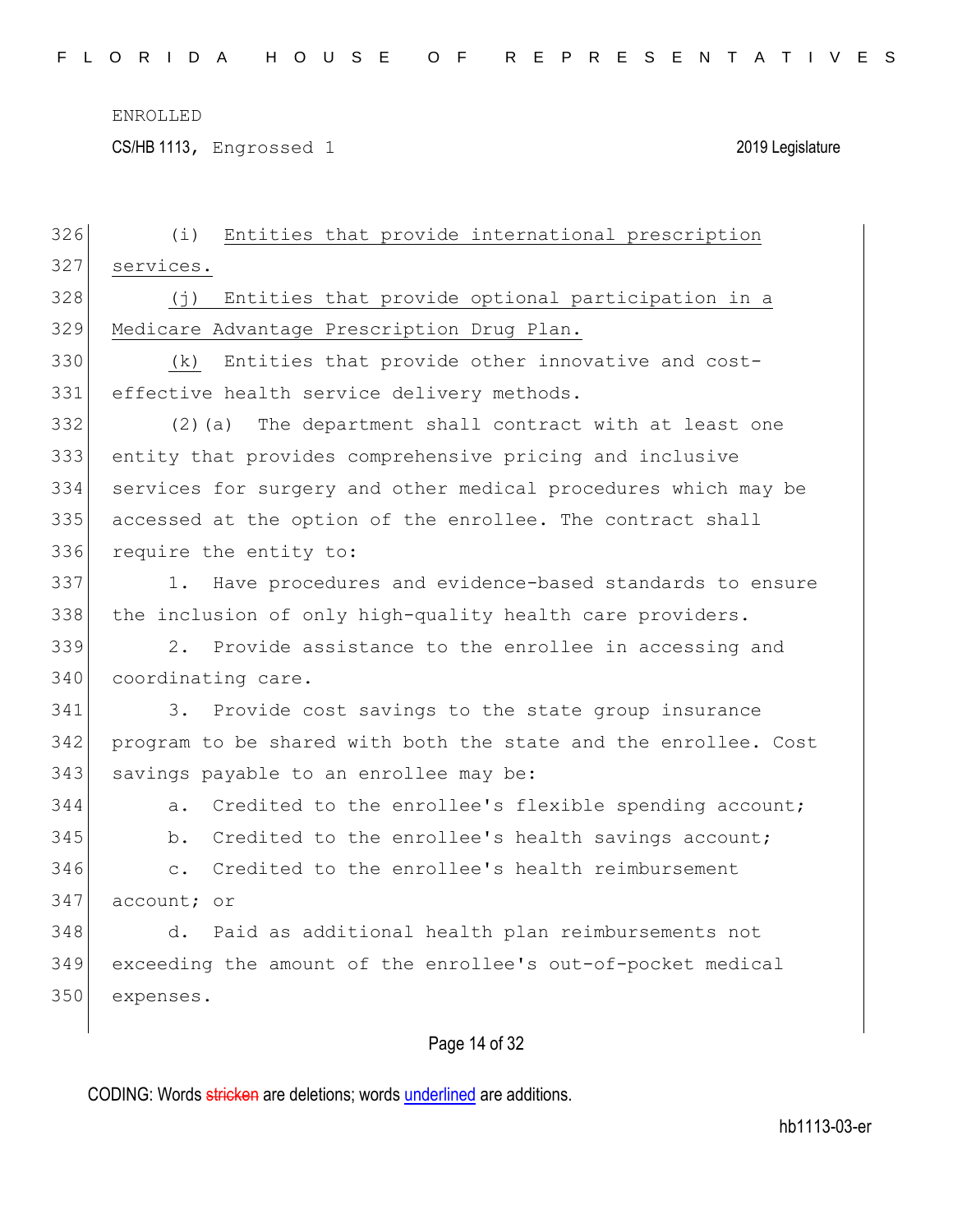CS/HB 1113, Engrossed 1 2019 Legislature

| 326 | Entities that provide international prescription<br>(i)           |
|-----|-------------------------------------------------------------------|
| 327 | services.                                                         |
| 328 | (j) Entities that provide optional participation in a             |
| 329 | Medicare Advantage Prescription Drug Plan.                        |
| 330 | Entities that provide other innovative and cost-<br>(k)           |
| 331 | effective health service delivery methods.                        |
| 332 | The department shall contract with at least one<br>$(2)$ (a)      |
| 333 | entity that provides comprehensive pricing and inclusive          |
| 334 | services for surgery and other medical procedures which may be    |
| 335 | accessed at the option of the enrollee. The contract shall        |
| 336 | require the entity to:                                            |
| 337 | Have procedures and evidence-based standards to ensure<br>1.      |
| 338 | the inclusion of only high-quality health care providers.         |
| 339 | 2.<br>Provide assistance to the enrollee in accessing and         |
| 340 | coordinating care.                                                |
| 341 | 3.<br>Provide cost savings to the state group insurance           |
| 342 | program to be shared with both the state and the enrollee. Cost   |
| 343 | savings payable to an enrollee may be:                            |
| 344 | Credited to the enrollee's flexible spending account;<br>a.       |
| 345 | Credited to the enrollee's health savings account;<br>b.          |
| 346 | Credited to the enrollee's health reimbursement<br>$\mathsf{C}$ . |
| 347 | account; or                                                       |
| 348 | Paid as additional health plan reimbursements not<br>d.           |
| 349 | exceeding the amount of the enrollee's out-of-pocket medical      |
| 350 | expenses.                                                         |
|     |                                                                   |

# Page 14 of 32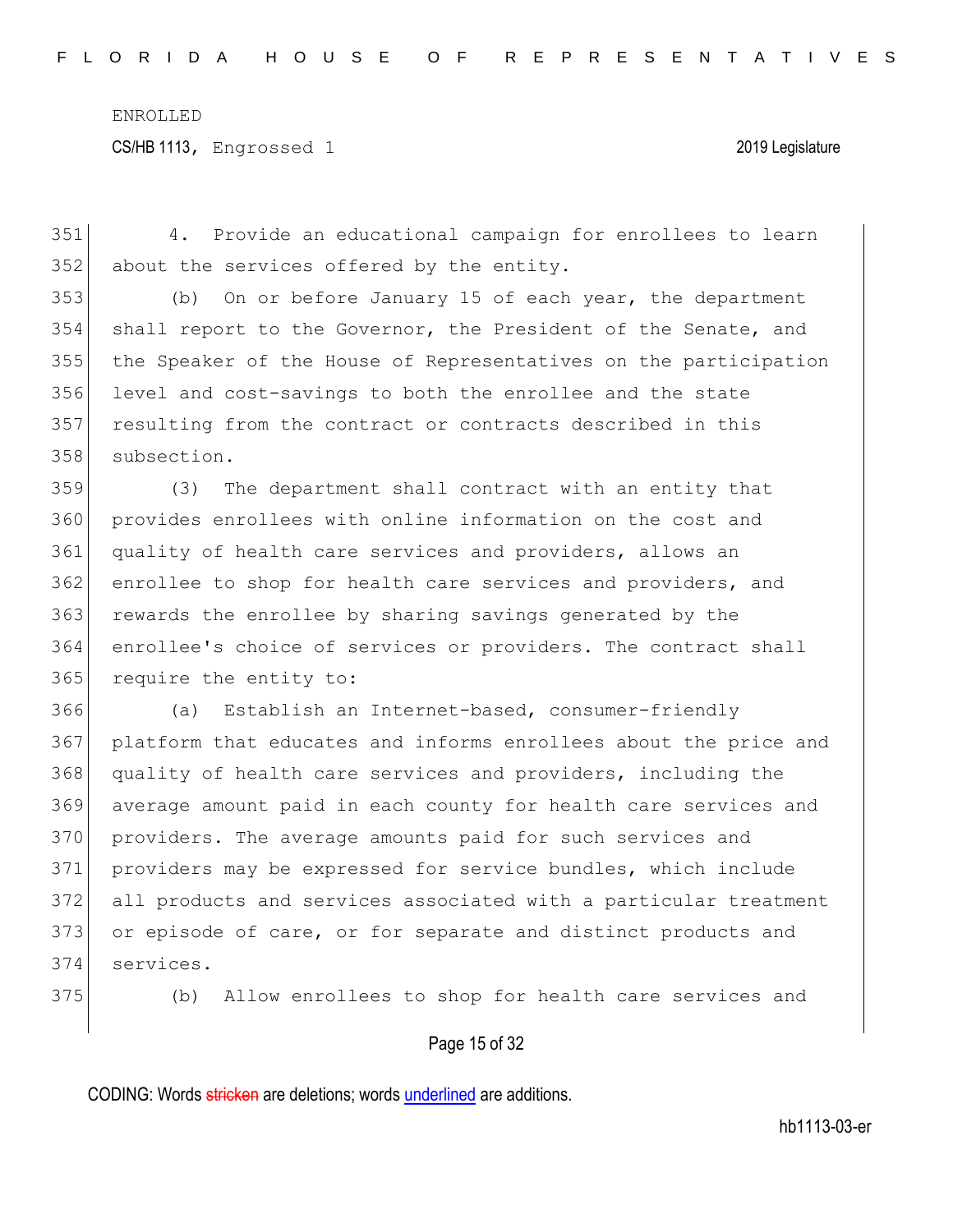4. Provide an educational campaign for enrollees to learn 352 about the services offered by the entity. (b) On or before January 15 of each year, the department shall report to the Governor, the President of the Senate, and the Speaker of the House of Representatives on the participation 356 level and cost-savings to both the enrollee and the state 357 resulting from the contract or contracts described in this subsection. (3) The department shall contract with an entity that provides enrollees with online information on the cost and quality of health care services and providers, allows an enrollee to shop for health care services and providers, and 363 rewards the enrollee by sharing savings generated by the enrollee's choice of services or providers. The contract shall 365 require the entity to: 366 (a) Establish an Internet-based, consumer-friendly platform that educates and informs enrollees about the price and 368 quality of health care services and providers, including the average amount paid in each county for health care services and 370 providers. The average amounts paid for such services and providers may be expressed for service bundles, which include all products and services associated with a particular treatment

373 or episode of care, or for separate and distinct products and 374 services.

375 (b) Allow enrollees to shop for health care services and

#### Page 15 of 32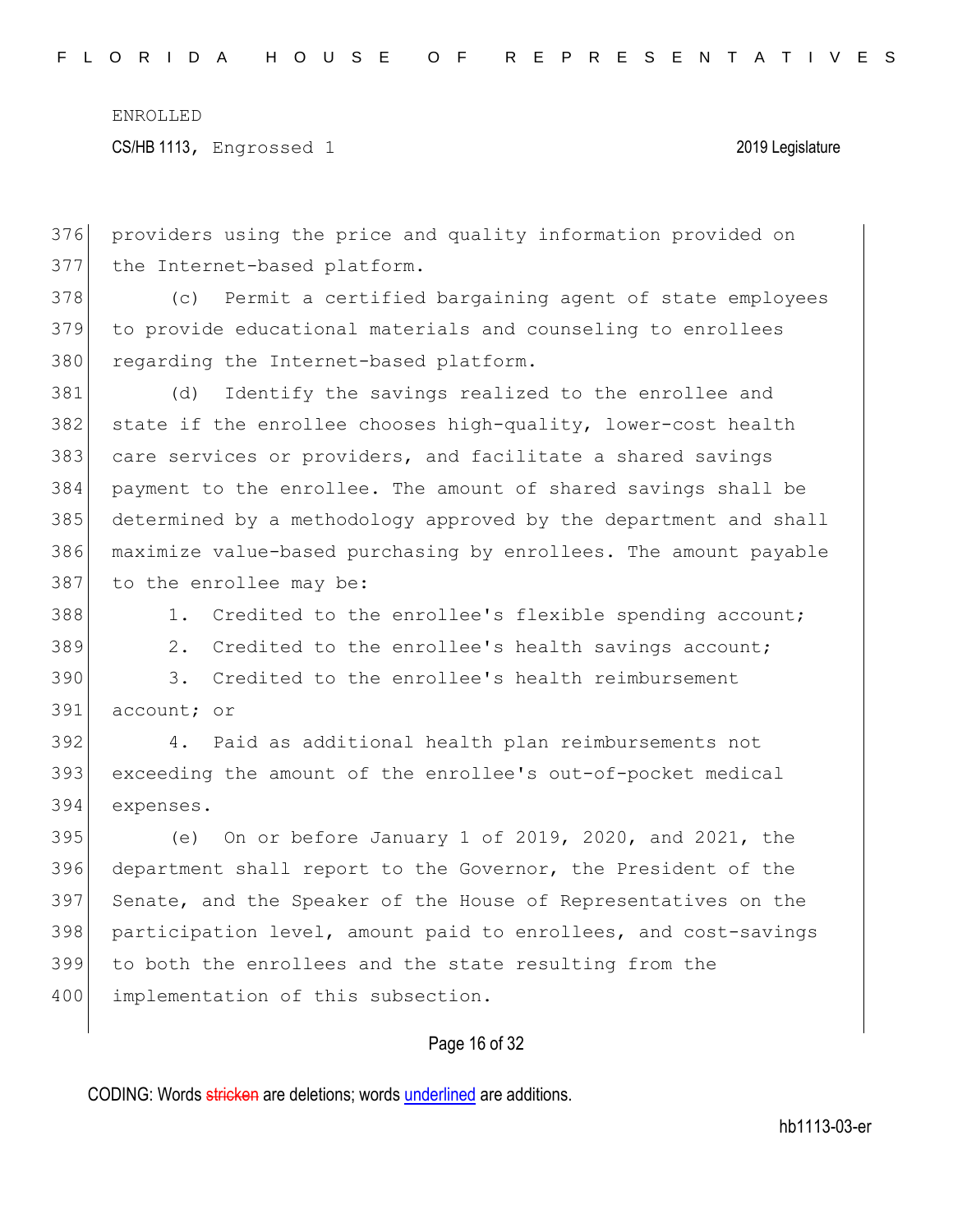CS/HB 1113, Engrossed 1 2019 Legislature

376 providers using the price and quality information provided on 377 the Internet-based platform.

378 (c) Permit a certified bargaining agent of state employees 379 to provide educational materials and counseling to enrollees 380 regarding the Internet-based platform.

 (d) Identify the savings realized to the enrollee and 382 state if the enrollee chooses high-quality, lower-cost health care services or providers, and facilitate a shared savings payment to the enrollee. The amount of shared savings shall be determined by a methodology approved by the department and shall maximize value-based purchasing by enrollees. The amount payable 387 to the enrollee may be:

388 1. Credited to the enrollee's flexible spending account;

389 2. Credited to the enrollee's health savings account;

390 3. Credited to the enrollee's health reimbursement 391 account; or

392 4. Paid as additional health plan reimbursements not 393 exceeding the amount of the enrollee's out-of-pocket medical 394 expenses.

 (e) On or before January 1 of 2019, 2020, and 2021, the department shall report to the Governor, the President of the 397 Senate, and the Speaker of the House of Representatives on the participation level, amount paid to enrollees, and cost-savings to both the enrollees and the state resulting from the 400 implementation of this subsection.

### Page 16 of 32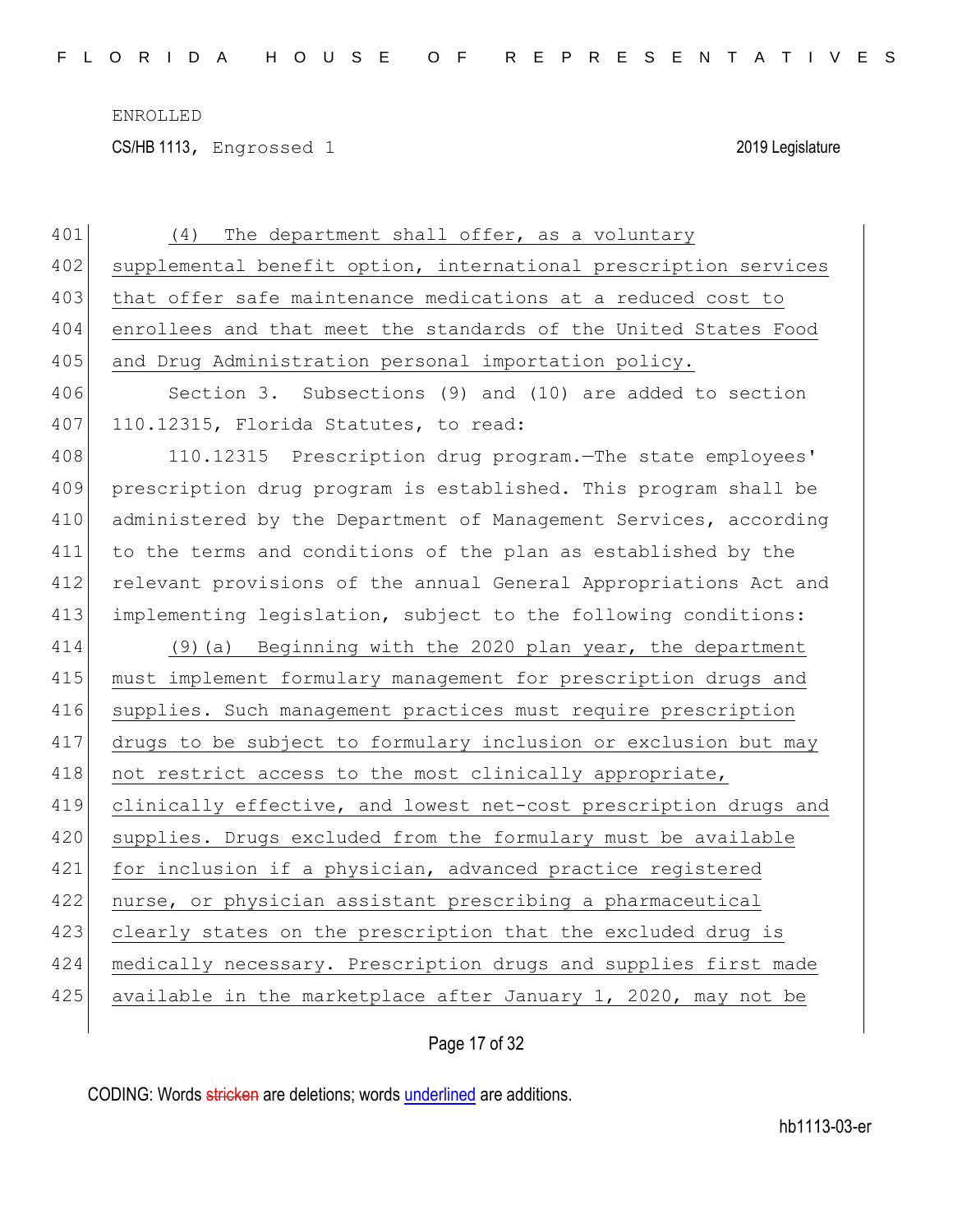CS/HB 1113, Engrossed 1 2019 Legislature

| 401 | The department shall offer, as a voluntary<br>(4)                |
|-----|------------------------------------------------------------------|
| 402 | supplemental benefit option, international prescription services |
| 403 | that offer safe maintenance medications at a reduced cost to     |
| 404 | enrollees and that meet the standards of the United States Food  |
| 405 | and Drug Administration personal importation policy.             |
| 406 | Section 3. Subsections (9) and (10) are added to section         |
| 407 | 110.12315, Florida Statutes, to read:                            |
| 408 | 110.12315 Prescription drug program. The state employees'        |
| 409 | prescription drug program is established. This program shall be  |
| 410 | administered by the Department of Management Services, according |
| 411 | to the terms and conditions of the plan as established by the    |
| 412 | relevant provisions of the annual General Appropriations Act and |
| 413 | implementing legislation, subject to the following conditions:   |
|     |                                                                  |
| 414 | (9) (a) Beginning with the 2020 plan year, the department        |
| 415 | must implement formulary management for prescription drugs and   |
| 416 | supplies. Such management practices must require prescription    |
| 417 | drugs to be subject to formulary inclusion or exclusion but may  |
| 418 | not restrict access to the most clinically appropriate,          |
| 419 | clinically effective, and lowest net-cost prescription drugs and |
| 420 | supplies. Drugs excluded from the formulary must be available    |
| 421 | for inclusion if a physician, advanced practice registered       |
| 422 | nurse, or physician assistant prescribing a pharmaceutical       |
| 423 | clearly states on the prescription that the excluded drug is     |
| 424 | medically necessary. Prescription drugs and supplies first made  |
| 425 | available in the marketplace after January 1, 2020, may not be   |

Page 17 of 32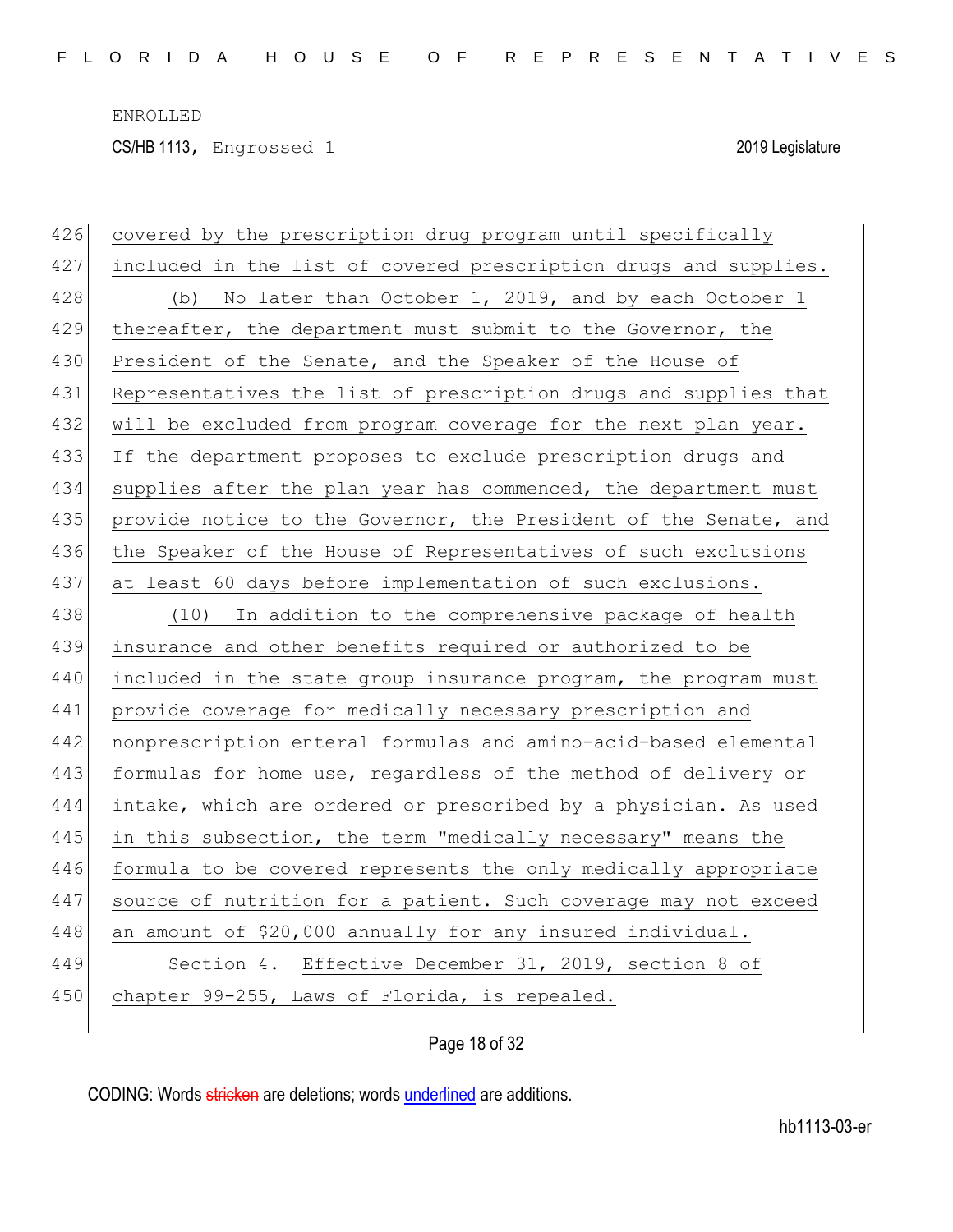CS/HB 1113, Engrossed 1 2019 Legislature

| 426 | covered by the prescription drug program until specifically      |
|-----|------------------------------------------------------------------|
| 427 | included in the list of covered prescription drugs and supplies. |
| 428 | (b) No later than October 1, 2019, and by each October 1         |
| 429 | thereafter, the department must submit to the Governor, the      |
| 430 | President of the Senate, and the Speaker of the House of         |
| 431 | Representatives the list of prescription drugs and supplies that |
| 432 | will be excluded from program coverage for the next plan year.   |
| 433 | If the department proposes to exclude prescription drugs and     |
| 434 | supplies after the plan year has commenced, the department must  |
| 435 | provide notice to the Governor, the President of the Senate, and |
| 436 | the Speaker of the House of Representatives of such exclusions   |
| 437 | at least 60 days before implementation of such exclusions.       |
| 438 | (10) In addition to the comprehensive package of health          |
| 439 | insurance and other benefits required or authorized to be        |
| 440 | included in the state group insurance program, the program must  |
| 441 | provide coverage for medically necessary prescription and        |
| 442 | nonprescription enteral formulas and amino-acid-based elemental  |
| 443 | formulas for home use, regardless of the method of delivery or   |
| 444 | intake, which are ordered or prescribed by a physician. As used  |
| 445 | in this subsection, the term "medically necessary" means the     |
| 446 | formula to be covered represents the only medically appropriate  |
| 447 | source of nutrition for a patient. Such coverage may not exceed  |
| 448 | an amount of \$20,000 annually for any insured individual.       |
| 449 | Section 4. Effective December 31, 2019, section 8 of             |
| 450 | chapter 99-255, Laws of Florida, is repealed.                    |
|     |                                                                  |

Page 18 of 32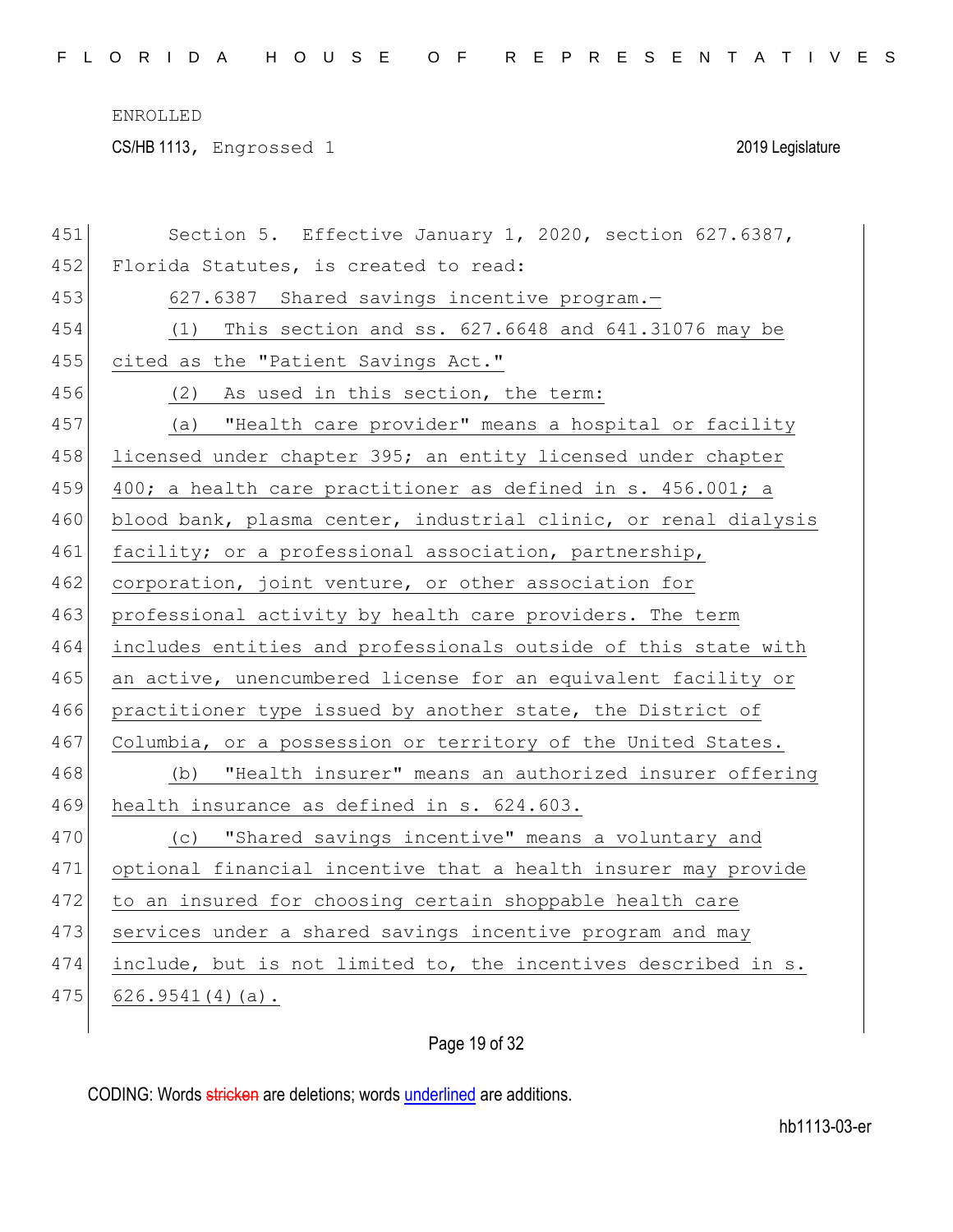CS/HB 1113, Engrossed 1 2019 Legislature

| 451 | Section 5. Effective January 1, 2020, section 627.6387,         |
|-----|-----------------------------------------------------------------|
| 452 | Florida Statutes, is created to read:                           |
| 453 | 627.6387 Shared savings incentive program.-                     |
| 454 | (1) This section and ss. 627.6648 and 641.31076 may be          |
| 455 | cited as the "Patient Savings Act."                             |
| 456 | (2) As used in this section, the term:                          |
| 457 | (a) "Health care provider" means a hospital or facility         |
| 458 | licensed under chapter 395; an entity licensed under chapter    |
| 459 | 400; a health care practitioner as defined in s. 456.001; a     |
| 460 | blood bank, plasma center, industrial clinic, or renal dialysis |
| 461 | facility; or a professional association, partnership,           |
| 462 | corporation, joint venture, or other association for            |
| 463 | professional activity by health care providers. The term        |
| 464 | includes entities and professionals outside of this state with  |
| 465 | an active, unencumbered license for an equivalent facility or   |
| 466 | practitioner type issued by another state, the District of      |
| 467 | Columbia, or a possession or territory of the United States.    |
| 468 | "Health insurer" means an authorized insurer offering<br>(b)    |
| 469 | health insurance as defined in s. 624.603.                      |
| 470 | (c) "Shared savings incentive" means a voluntary and            |
| 471 | optional financial incentive that a health insurer may provide  |
| 472 | to an insured for choosing certain shoppable health care        |
| 473 | services under a shared savings incentive program and may       |
| 474 | include, but is not limited to, the incentives described in s.  |
| 475 | $626.9541(4)(a)$ .                                              |
|     |                                                                 |

# Page 19 of 32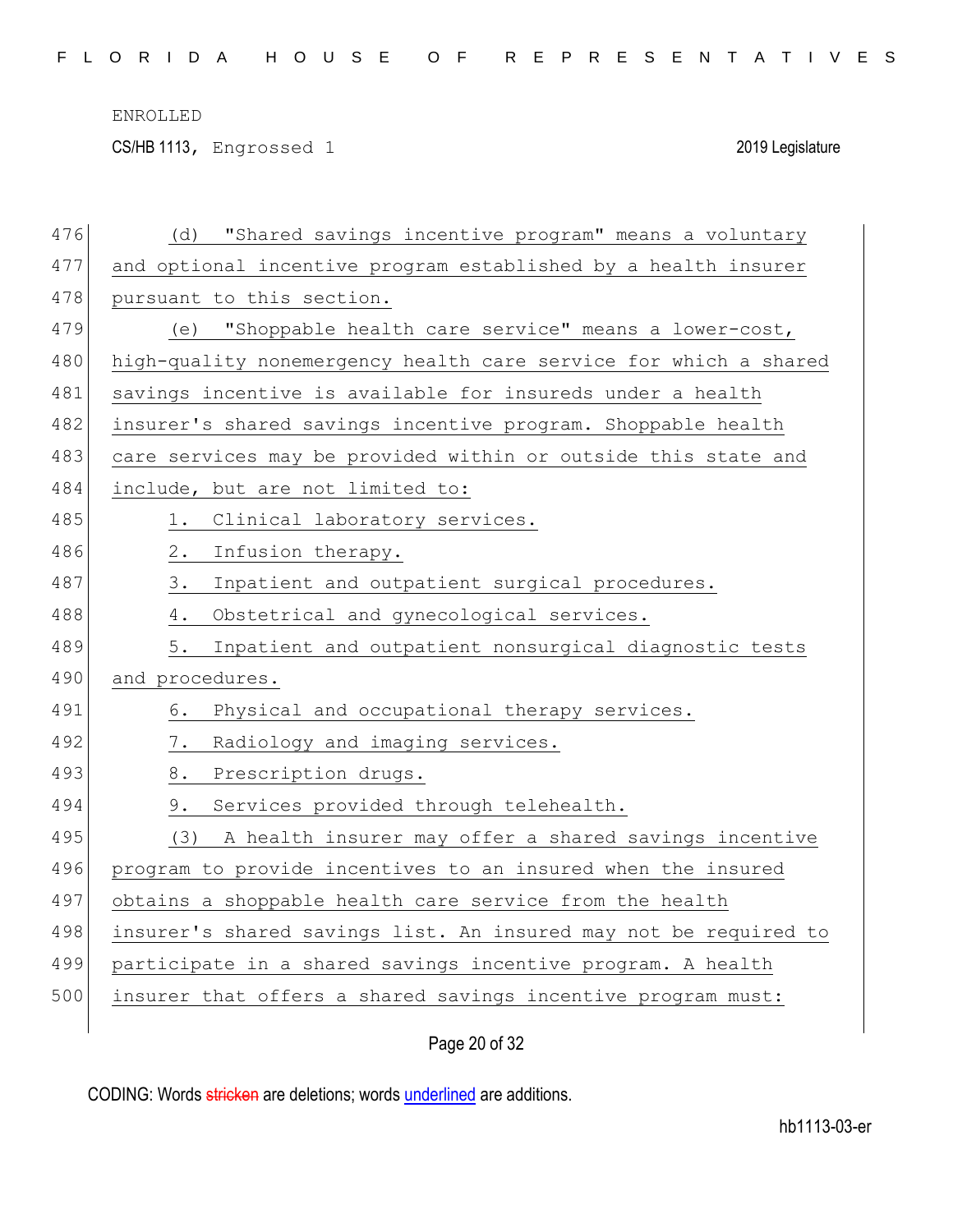CS/HB 1113, Engrossed 1 2019 Legislature

| 476 | "Shared savings incentive program" means a voluntary<br>(d)      |
|-----|------------------------------------------------------------------|
| 477 | and optional incentive program established by a health insurer   |
| 478 | pursuant to this section.                                        |
| 479 | (e) "Shoppable health care service" means a lower-cost,          |
| 480 | high-quality nonemergency health care service for which a shared |
| 481 | savings incentive is available for insureds under a health       |
| 482 | insurer's shared savings incentive program. Shoppable health     |
| 483 | care services may be provided within or outside this state and   |
| 484 | include, but are not limited to:                                 |
| 485 | Clinical laboratory services.<br>1.                              |
| 486 | $2$ .<br>Infusion therapy.                                       |
| 487 | 3.<br>Inpatient and outpatient surgical procedures.              |
| 488 | Obstetrical and gynecological services.<br>4.                    |
| 489 | 5.<br>Inpatient and outpatient nonsurgical diagnostic tests      |
| 490 | and procedures.                                                  |
| 491 | Physical and occupational therapy services.<br>6.                |
| 492 | Radiology and imaging services.<br>7.                            |
| 493 | 8.<br>Prescription drugs.                                        |
| 494 | Services provided through telehealth.<br>9.                      |
| 495 | (3) A health insurer may offer a shared savings incentive        |
| 496 | program to provide incentives to an insured when the insured     |
| 497 | obtains a shoppable health care service from the health          |
| 498 | insurer's shared savings list. An insured may not be required to |
| 499 | participate in a shared savings incentive program. A health      |
| 500 | insurer that offers a shared savings incentive program must:     |
|     |                                                                  |

Page 20 of 32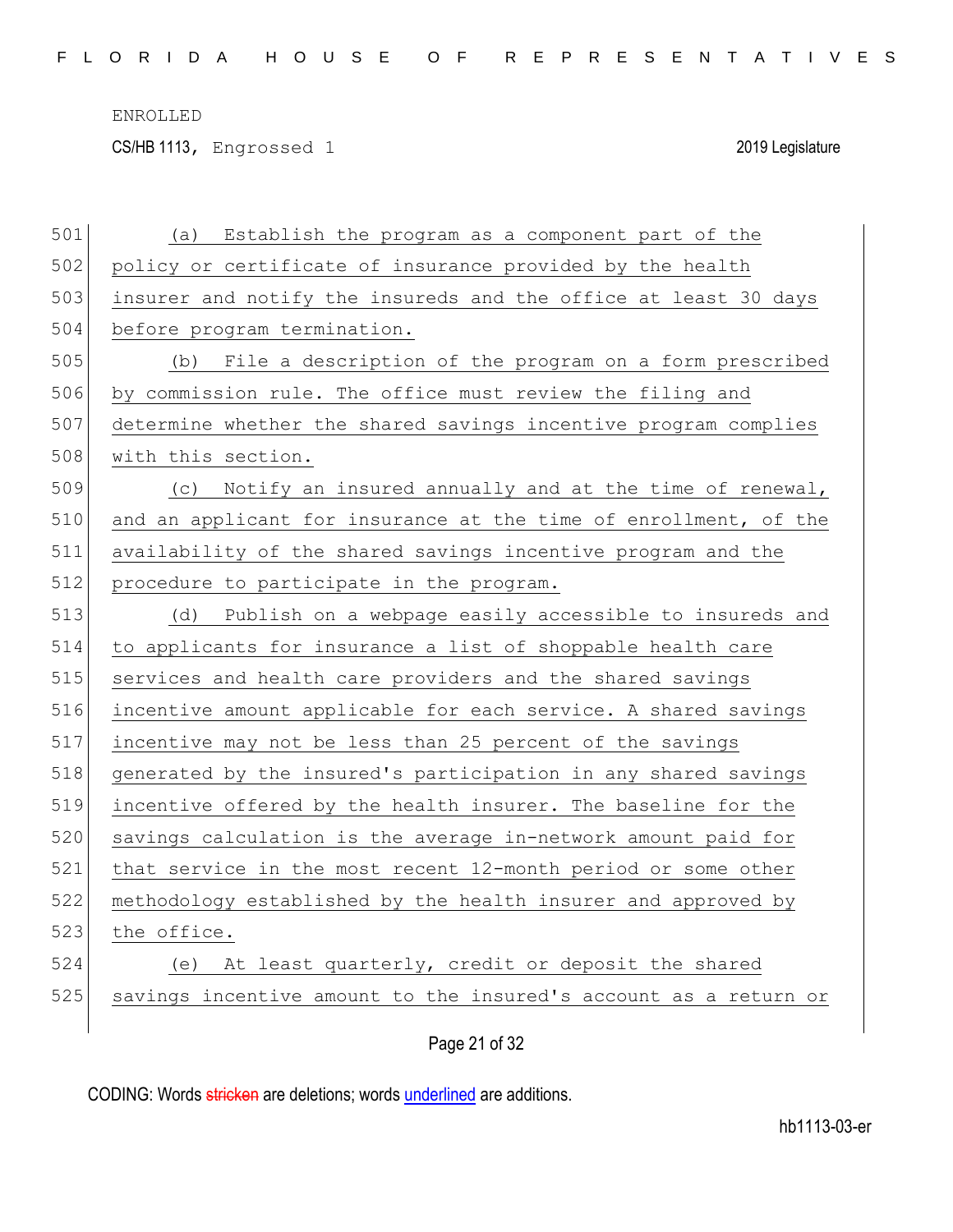CS/HB 1113, Engrossed 1 2019 Legislature

| 501 | Establish the program as a component part of the<br>(a)          |
|-----|------------------------------------------------------------------|
| 502 | policy or certificate of insurance provided by the health        |
| 503 | insurer and notify the insureds and the office at least 30 days  |
| 504 | before program termination.                                      |
| 505 | (b) File a description of the program on a form prescribed       |
| 506 | by commission rule. The office must review the filing and        |
| 507 | determine whether the shared savings incentive program complies  |
| 508 | with this section.                                               |
| 509 | (c) Notify an insured annually and at the time of renewal,       |
| 510 | and an applicant for insurance at the time of enrollment, of the |
| 511 | availability of the shared savings incentive program and the     |
| 512 | procedure to participate in the program.                         |
| 513 | Publish on a webpage easily accessible to insureds and<br>(d)    |
| 514 | to applicants for insurance a list of shoppable health care      |
| 515 | services and health care providers and the shared savings        |
| 516 | incentive amount applicable for each service. A shared savings   |
| 517 | incentive may not be less than 25 percent of the savings         |
| 518 | generated by the insured's participation in any shared savings   |
| 519 | incentive offered by the health insurer. The baseline for the    |
| 520 | savings calculation is the average in-network amount paid for    |
| 521 | that service in the most recent 12-month period or some other    |
| 522 | methodology established by the health insurer and approved by    |
| 523 | the office.                                                      |
| 524 | (e) At least quarterly, credit or deposit the shared             |
| 525 | savings incentive amount to the insured's account as a return or |
|     |                                                                  |

Page 21 of 32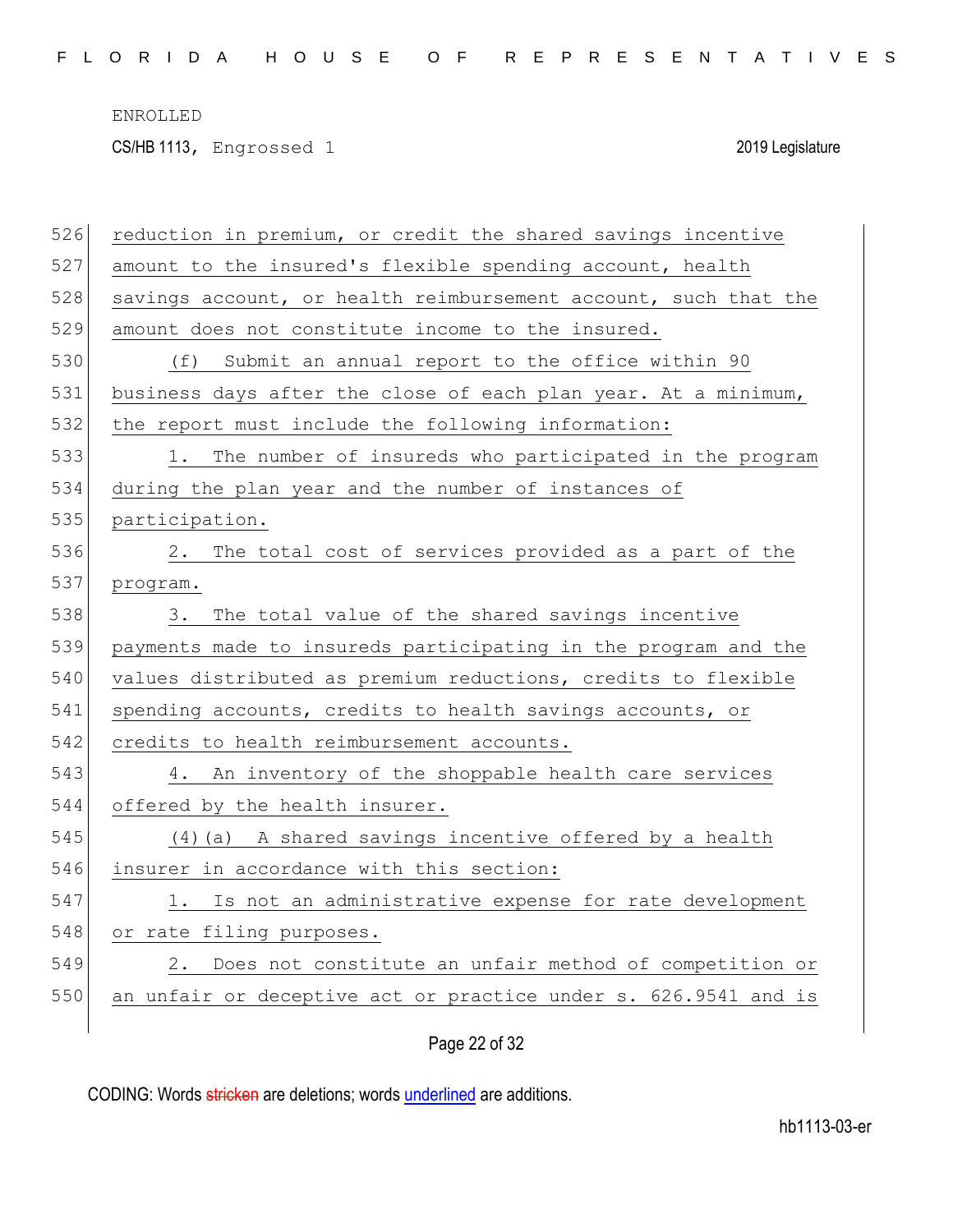F L O R I D A H O U S E O F R E P R E S E N T A T I V E S

ENROLLED

CS/HB 1113, Engrossed 1 2019 Legislature

| 526 | reduction in premium, or credit the shared savings incentive    |
|-----|-----------------------------------------------------------------|
| 527 | amount to the insured's flexible spending account, health       |
| 528 | savings account, or health reimbursement account, such that the |
| 529 | amount does not constitute income to the insured.               |
| 530 | (f) Submit an annual report to the office within 90             |
| 531 | business days after the close of each plan year. At a minimum,  |
| 532 | the report must include the following information:              |
| 533 | The number of insureds who participated in the program          |
| 534 | during the plan year and the number of instances of             |
| 535 | participation.                                                  |
| 536 | The total cost of services provided as a part of the<br>2.      |
| 537 | program.                                                        |
| 538 | The total value of the shared savings incentive<br>3.           |
| 539 | payments made to insureds participating in the program and the  |
| 540 | values distributed as premium reductions, credits to flexible   |
| 541 | spending accounts, credits to health savings accounts, or       |
| 542 | credits to health reimbursement accounts.                       |
| 543 | 4. An inventory of the shoppable health care services           |
| 544 | offered by the health insurer.                                  |
| 545 | (4) (a) A shared savings incentive offered by a health          |
| 546 | insurer in accordance with this section:                        |
| 547 | Is not an administrative expense for rate development<br>1.     |
| 548 | or rate filing purposes.                                        |
| 549 | Does not constitute an unfair method of competition or<br>2.    |
| 550 | an unfair or deceptive act or practice under s. 626.9541 and is |
|     |                                                                 |

# Page 22 of 32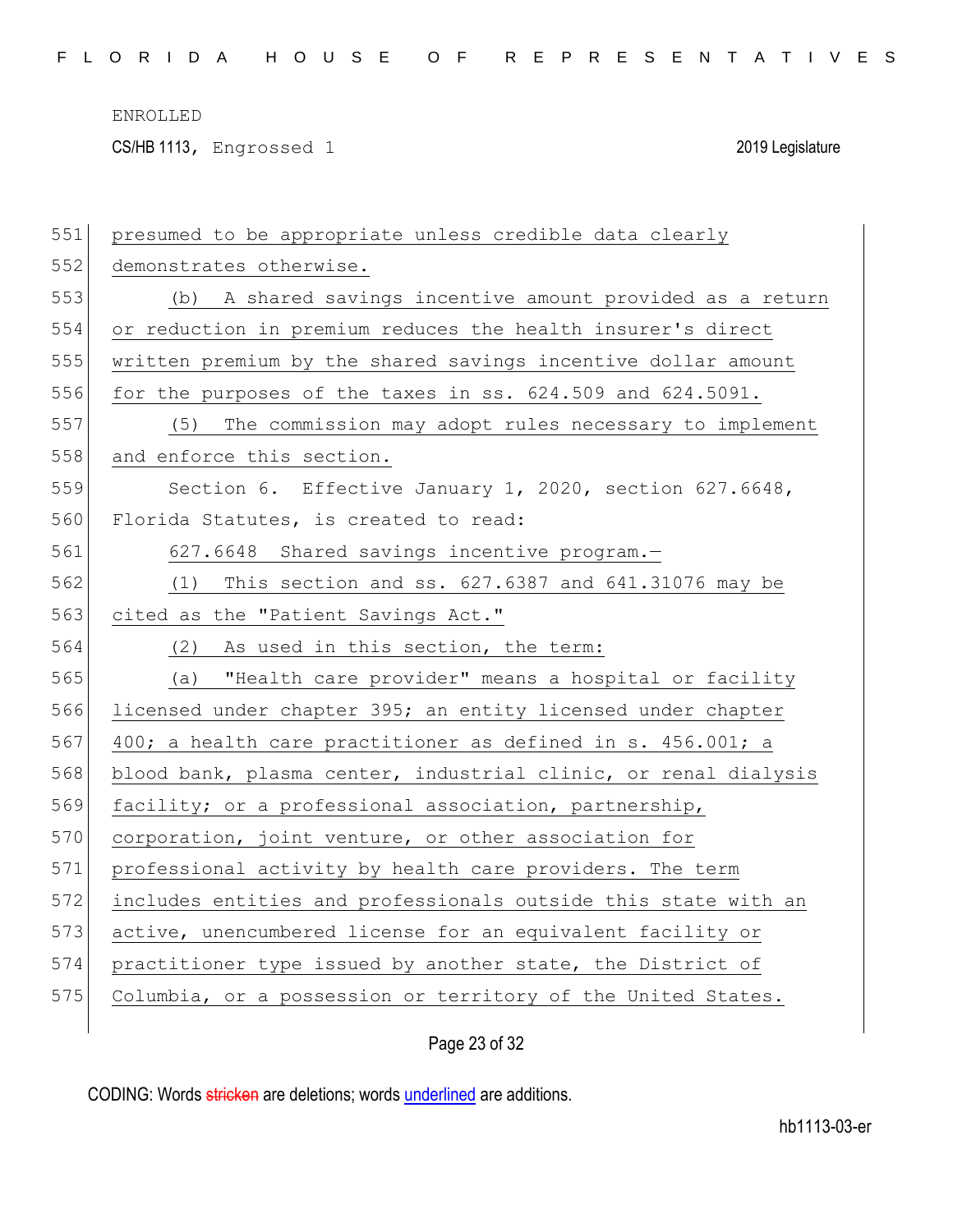CS/HB 1113, Engrossed 1 2019 Legislature

| 551 | presumed to be appropriate unless credible data clearly         |
|-----|-----------------------------------------------------------------|
| 552 | demonstrates otherwise.                                         |
| 553 | (b) A shared savings incentive amount provided as a return      |
| 554 | or reduction in premium reduces the health insurer's direct     |
| 555 | written premium by the shared savings incentive dollar amount   |
| 556 | for the purposes of the taxes in ss. 624.509 and 624.5091.      |
| 557 | (5) The commission may adopt rules necessary to implement       |
| 558 | and enforce this section.                                       |
| 559 | Section 6. Effective January 1, 2020, section 627.6648,         |
| 560 | Florida Statutes, is created to read:                           |
| 561 | 627.6648 Shared savings incentive program.-                     |
| 562 | This section and ss. 627.6387 and 641.31076 may be<br>(1)       |
| 563 | cited as the "Patient Savings Act."                             |
| 564 | (2)<br>As used in this section, the term:                       |
| 565 | "Health care provider" means a hospital or facility<br>(a)      |
| 566 | licensed under chapter 395; an entity licensed under chapter    |
| 567 | 400; a health care practitioner as defined in s. 456.001; a     |
| 568 | blood bank, plasma center, industrial clinic, or renal dialysis |
| 569 | facility; or a professional association, partnership,           |
| 570 | corporation, joint venture, or other association for            |
| 571 | professional activity by health care providers. The term        |
| 572 | includes entities and professionals outside this state with an  |
| 573 | active, unencumbered license for an equivalent facility or      |
| 574 | practitioner type issued by another state, the District of      |
| 575 | Columbia, or a possession or territory of the United States.    |
|     |                                                                 |

Page 23 of 32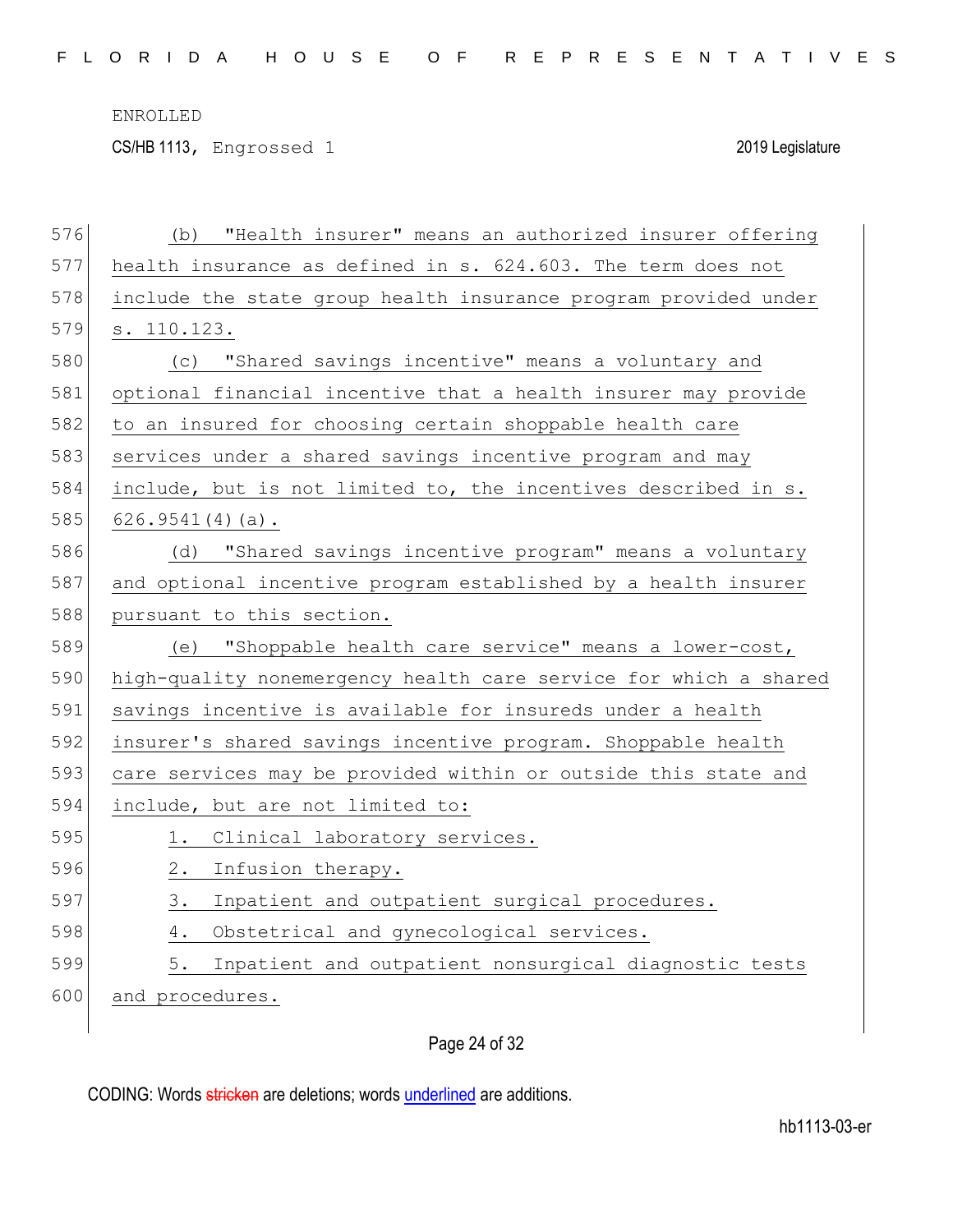CS/HB 1113, Engrossed 1 2019 Legislature

| 576 | "Health insurer" means an authorized insurer offering<br>(b)     |
|-----|------------------------------------------------------------------|
| 577 | health insurance as defined in s. 624.603. The term does not     |
| 578 | include the state group health insurance program provided under  |
| 579 | s. 110.123.                                                      |
| 580 | "Shared savings incentive" means a voluntary and<br>(C)          |
| 581 | optional financial incentive that a health insurer may provide   |
| 582 | to an insured for choosing certain shoppable health care         |
| 583 | services under a shared savings incentive program and may        |
| 584 | include, but is not limited to, the incentives described in s.   |
| 585 | $626.9541(4)(a)$ .                                               |
| 586 | "Shared savings incentive program" means a voluntary<br>(d)      |
| 587 | and optional incentive program established by a health insurer   |
| 588 | pursuant to this section.                                        |
| 589 | (e) "Shoppable health care service" means a lower-cost,          |
| 590 | high-quality nonemergency health care service for which a shared |
|     |                                                                  |
| 591 | savings incentive is available for insureds under a health       |
| 592 | insurer's shared savings incentive program. Shoppable health     |
| 593 | care services may be provided within or outside this state and   |
| 594 | include, but are not limited to:                                 |
| 595 | Clinical laboratory services.<br>1.                              |
| 596 | Infusion therapy.<br>2.                                          |
| 597 | Inpatient and outpatient surgical procedures.<br>3.              |
| 598 | Obstetrical and gynecological services.<br>4.                    |
| 599 | Inpatient and outpatient nonsurgical diagnostic tests<br>5.      |
| 600 | and procedures.                                                  |

# Page 24 of 32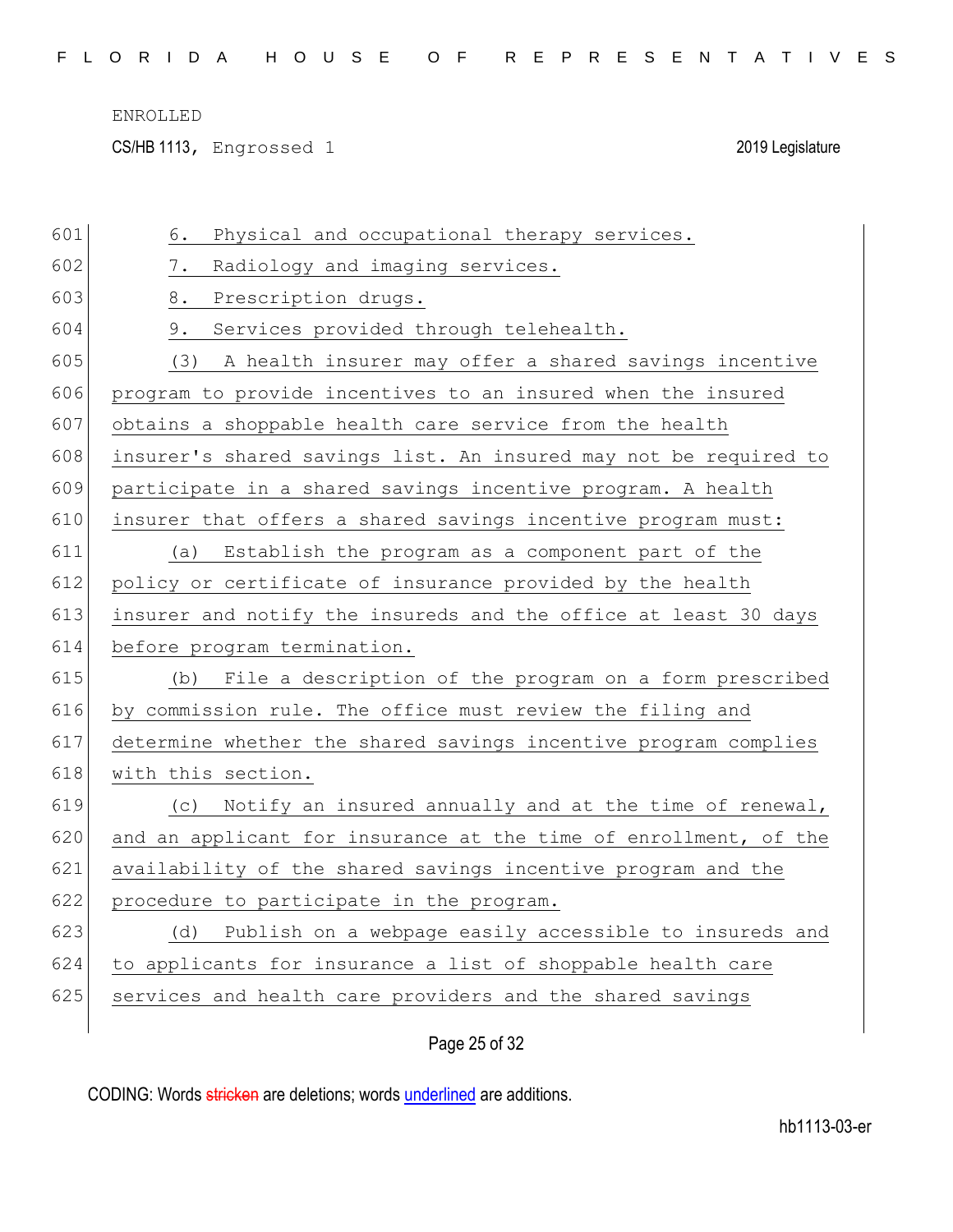CS/HB 1113, Engrossed 1 2019 Legislature

| 601 | Physical and occupational therapy services.<br>6.                |
|-----|------------------------------------------------------------------|
| 602 | 7.<br>Radiology and imaging services.                            |
| 603 | 8.<br>Prescription drugs.                                        |
| 604 | 9.<br>Services provided through telehealth.                      |
| 605 | A health insurer may offer a shared savings incentive<br>(3)     |
| 606 | program to provide incentives to an insured when the insured     |
| 607 | obtains a shoppable health care service from the health          |
| 608 | insurer's shared savings list. An insured may not be required to |
| 609 | participate in a shared savings incentive program. A health      |
| 610 | insurer that offers a shared savings incentive program must:     |
| 611 | Establish the program as a component part of the<br>(a)          |
| 612 | policy or certificate of insurance provided by the health        |
| 613 | insurer and notify the insureds and the office at least 30 days  |
|     |                                                                  |
| 614 | before program termination.                                      |
| 615 | (b) File a description of the program on a form prescribed       |
| 616 | by commission rule. The office must review the filing and        |
| 617 | determine whether the shared savings incentive program complies  |
| 618 | with this section.                                               |
| 619 | (c) Notify an insured annually and at the time of renewal,       |
| 620 | and an applicant for insurance at the time of enrollment, of the |
| 621 | availability of the shared savings incentive program and the     |
| 622 | procedure to participate in the program.                         |
| 623 | Publish on a webpage easily accessible to insureds and<br>(d)    |
| 624 | to applicants for insurance a list of shoppable health care      |
| 625 | services and health care providers and the shared savings        |

# Page 25 of 32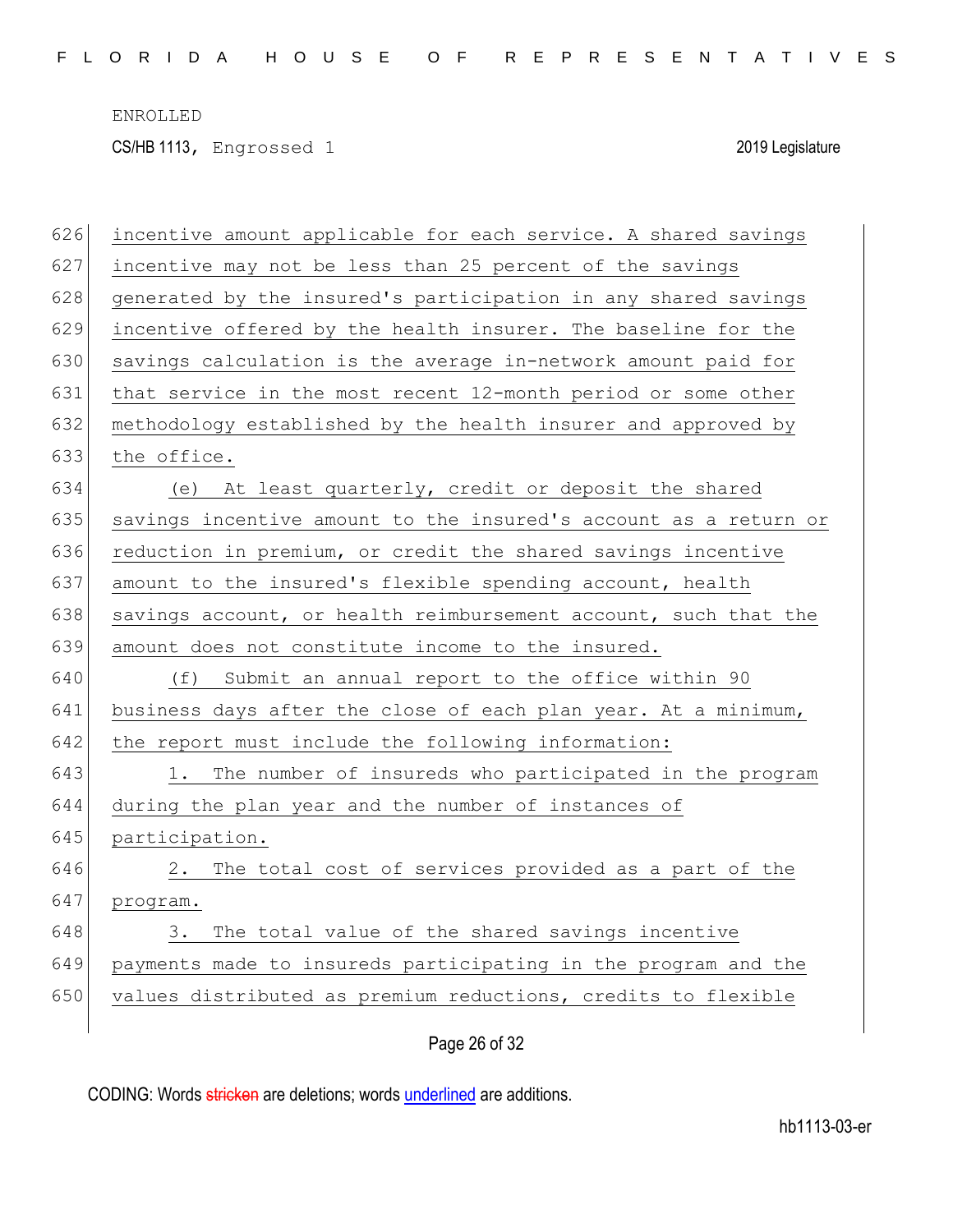CS/HB 1113, Engrossed 1 2019 Legislature

| 626 | incentive amount applicable for each service. A shared savings   |
|-----|------------------------------------------------------------------|
| 627 | incentive may not be less than 25 percent of the savings         |
| 628 | generated by the insured's participation in any shared savings   |
| 629 | incentive offered by the health insurer. The baseline for the    |
| 630 | savings calculation is the average in-network amount paid for    |
| 631 | that service in the most recent 12-month period or some other    |
| 632 | methodology established by the health insurer and approved by    |
| 633 | the office.                                                      |
| 634 | At least quarterly, credit or deposit the shared<br>(e)          |
| 635 | savings incentive amount to the insured's account as a return or |
| 636 | reduction in premium, or credit the shared savings incentive     |
| 637 | amount to the insured's flexible spending account, health        |
| 638 | savings account, or health reimbursement account, such that the  |
| 639 | amount does not constitute income to the insured.                |
| 640 | Submit an annual report to the office within 90<br>(f)           |
| 641 | business days after the close of each plan year. At a minimum,   |
| 642 | the report must include the following information:               |
| 643 | The number of insureds who participated in the program<br>1.     |
| 644 | during the plan year and the number of instances of              |
| 645 | participation.                                                   |
| 646 | 2. The total cost of services provided as a part of the          |
| 647 | program.                                                         |
| 648 | The total value of the shared savings incentive<br>3.            |
| 649 | payments made to insureds participating in the program and the   |
| 650 | values distributed as premium reductions, credits to flexible    |
|     |                                                                  |

Page 26 of 32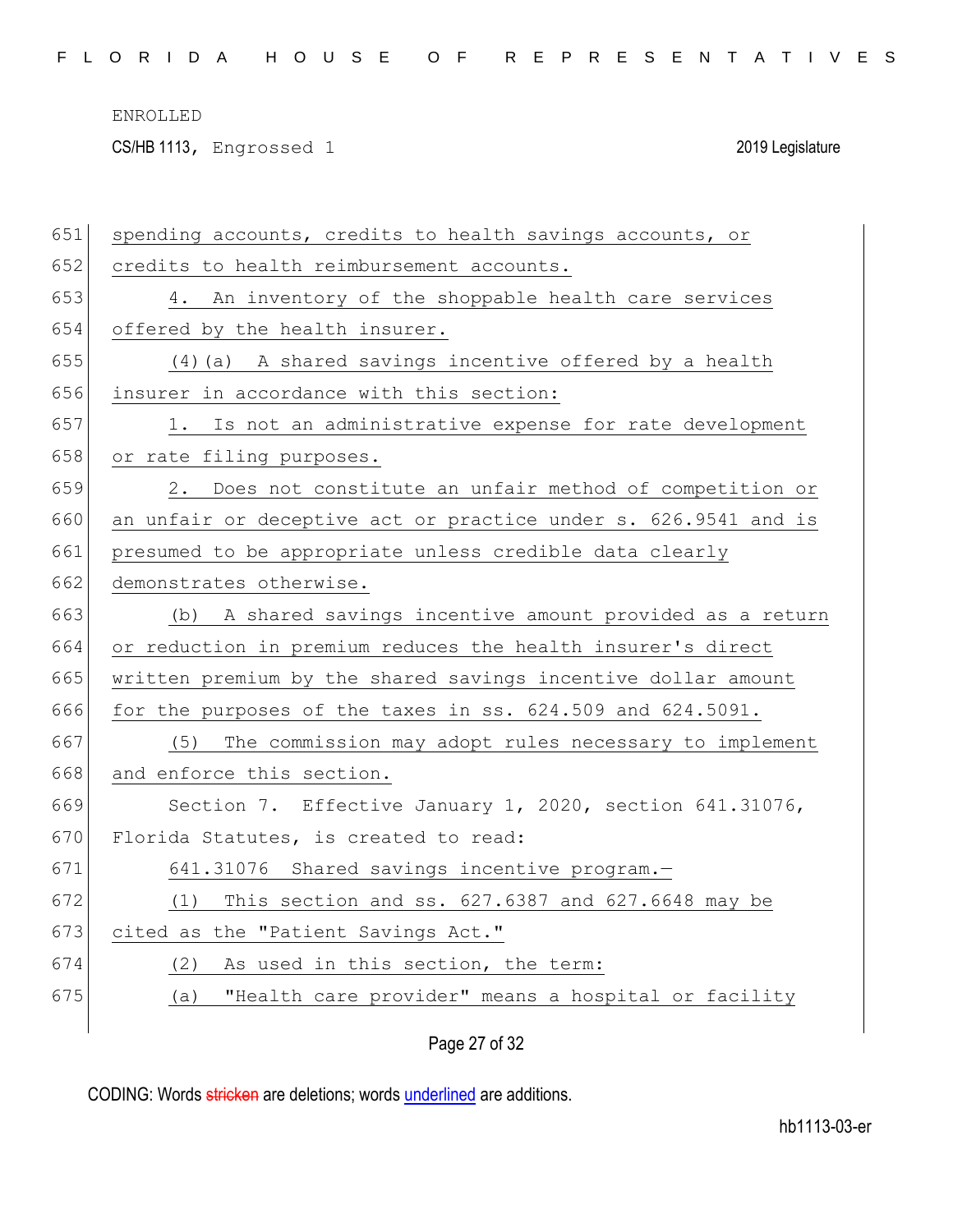CS/HB 1113, Engrossed 1 2019 Legislature

| 651 | spending accounts, credits to health savings accounts, or       |
|-----|-----------------------------------------------------------------|
| 652 | credits to health reimbursement accounts.                       |
| 653 | 4. An inventory of the shoppable health care services           |
| 654 | offered by the health insurer.                                  |
| 655 | (4) (a) A shared savings incentive offered by a health          |
| 656 | insurer in accordance with this section:                        |
| 657 | Is not an administrative expense for rate development<br>1.     |
| 658 | or rate filing purposes.                                        |
| 659 | 2. Does not constitute an unfair method of competition or       |
| 660 | an unfair or deceptive act or practice under s. 626.9541 and is |
| 661 | presumed to be appropriate unless credible data clearly         |
| 662 | demonstrates otherwise.                                         |
| 663 | (b) A shared savings incentive amount provided as a return      |
| 664 | or reduction in premium reduces the health insurer's direct     |
| 665 | written premium by the shared savings incentive dollar amount   |
| 666 | for the purposes of the taxes in ss. 624.509 and 624.5091.      |
| 667 | The commission may adopt rules necessary to implement<br>(5)    |
| 668 | and enforce this section.                                       |
| 669 | Section 7. Effective January 1, 2020, section 641.31076,        |
| 670 | Florida Statutes, is created to read:                           |
| 671 | 641.31076 Shared savings incentive program.-                    |
| 672 | This section and ss. 627.6387 and 627.6648 may be<br>(1)        |
| 673 | cited as the "Patient Savings Act."                             |
| 674 | As used in this section, the term:<br>(2)                       |
| 675 | "Health care provider" means a hospital or facility<br>(a)      |
|     |                                                                 |

Page 27 of 32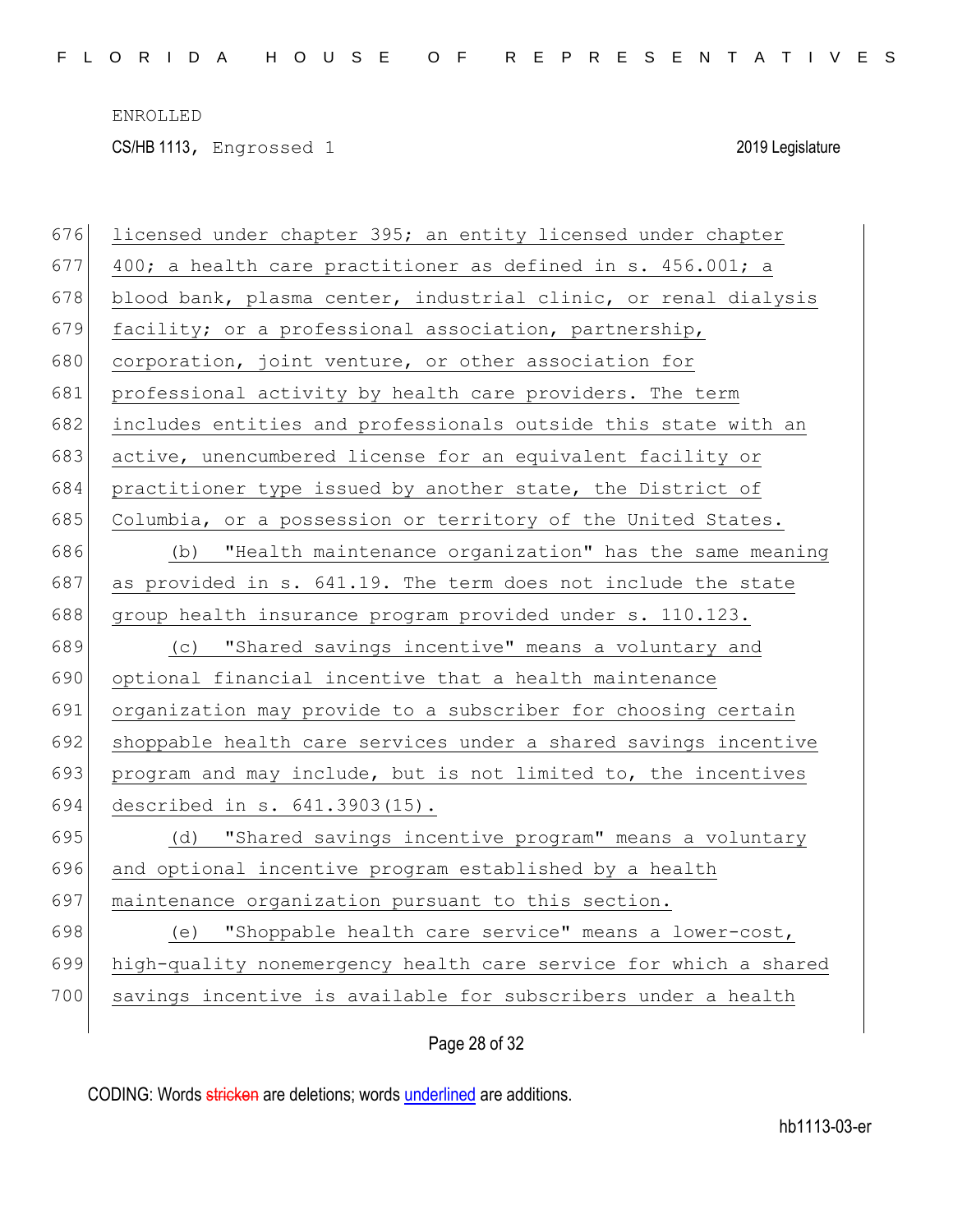CS/HB 1113, Engrossed 1 2019 Legislature

| 676 | licensed under chapter 395; an entity licensed under chapter     |
|-----|------------------------------------------------------------------|
| 677 | 400; a health care practitioner as defined in s. 456.001; a      |
| 678 | blood bank, plasma center, industrial clinic, or renal dialysis  |
| 679 | facility; or a professional association, partnership,            |
| 680 | corporation, joint venture, or other association for             |
| 681 | professional activity by health care providers. The term         |
| 682 | includes entities and professionals outside this state with an   |
| 683 | active, unencumbered license for an equivalent facility or       |
| 684 | practitioner type issued by another state, the District of       |
| 685 | Columbia, or a possession or territory of the United States.     |
| 686 | "Health maintenance organization" has the same meaning<br>(d)    |
| 687 | as provided in s. 641.19. The term does not include the state    |
| 688 | group health insurance program provided under s. 110.123.        |
|     |                                                                  |
| 689 | (c) "Shared savings incentive" means a voluntary and             |
| 690 | optional financial incentive that a health maintenance           |
| 691 | organization may provide to a subscriber for choosing certain    |
| 692 | shoppable health care services under a shared savings incentive  |
| 693 | program and may include, but is not limited to, the incentives   |
| 694 | described in s. 641.3903(15).                                    |
| 695 | "Shared savings incentive program" means a voluntary<br>(d)      |
| 696 | and optional incentive program established by a health           |
| 697 | maintenance organization pursuant to this section.               |
| 698 | (e) "Shoppable health care service" means a lower-cost,          |
| 699 | high-quality nonemergency health care service for which a shared |
| 700 | savings incentive is available for subscribers under a health    |

Page 28 of 32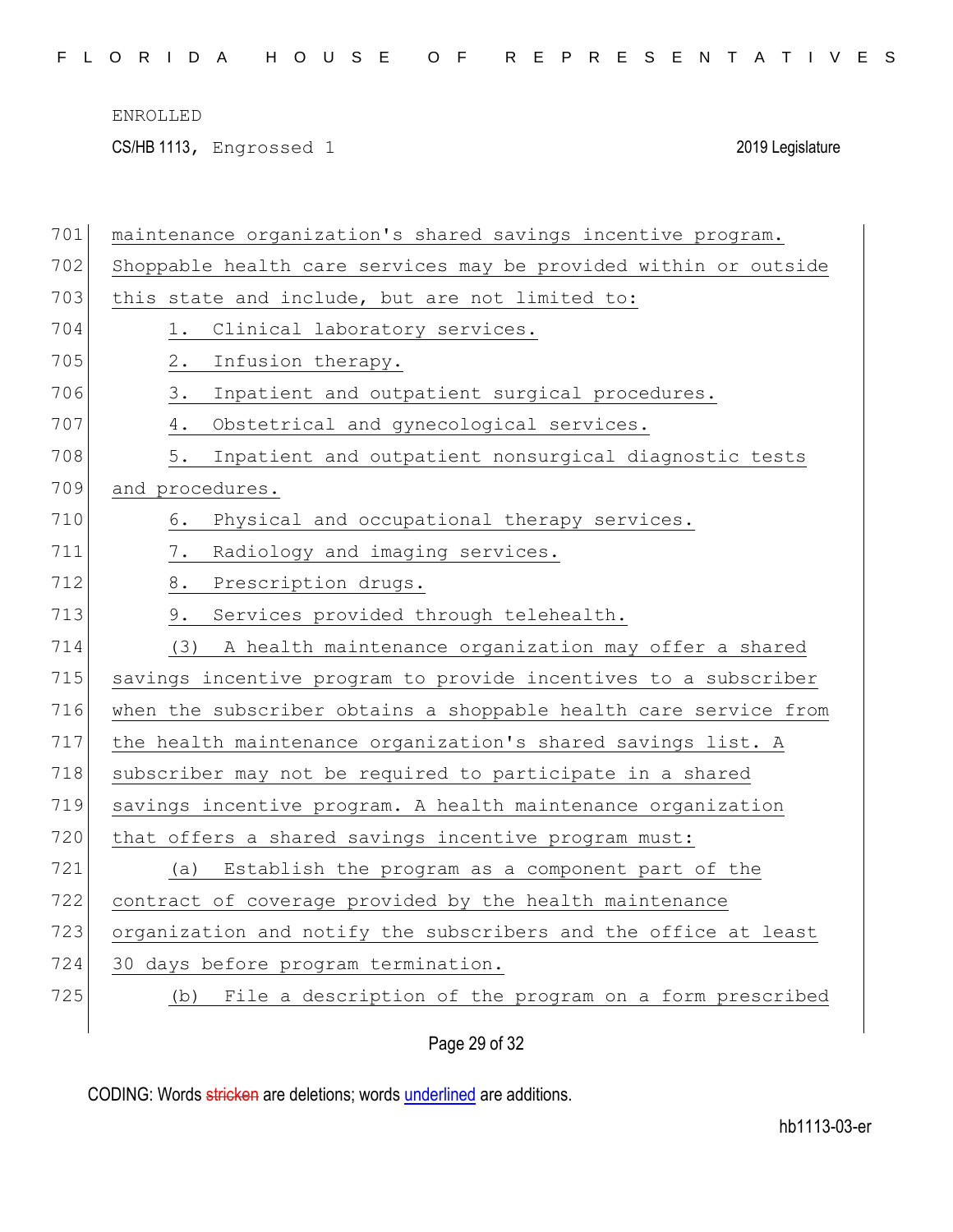CS/HB 1113, Engrossed 1 2019 Legislature

| 701 | maintenance organization's shared savings incentive program.     |
|-----|------------------------------------------------------------------|
| 702 | Shoppable health care services may be provided within or outside |
| 703 | this state and include, but are not limited to:                  |
| 704 | Clinical laboratory services.<br>1.                              |
| 705 | $2$ .<br>Infusion therapy.                                       |
| 706 | 3.<br>Inpatient and outpatient surgical procedures.              |
| 707 | 4.<br>Obstetrical and gynecological services.                    |
| 708 | 5.<br>Inpatient and outpatient nonsurgical diagnostic tests      |
| 709 | and procedures.                                                  |
| 710 | Physical and occupational therapy services.<br>6.                |
| 711 | Radiology and imaging services.<br>7.                            |
| 712 | 8.<br>Prescription drugs.                                        |
| 713 | 9.<br>Services provided through telehealth.                      |
| 714 | (3)<br>A health maintenance organization may offer a shared      |
| 715 | savings incentive program to provide incentives to a subscriber  |
| 716 | when the subscriber obtains a shoppable health care service from |
| 717 | the health maintenance organization's shared savings list. A     |
| 718 | subscriber may not be required to participate in a shared        |
| 719 | savings incentive program. A health maintenance organization     |
| 720 | that offers a shared savings incentive program must:             |
| 721 | Establish the program as a component part of the<br>(a)          |
| 722 | contract of coverage provided by the health maintenance          |
| 723 | organization and notify the subscribers and the office at least  |
| 724 | 30 days before program termination.                              |
| 725 | File a description of the program on a form prescribed<br>(b)    |
|     |                                                                  |

Page 29 of 32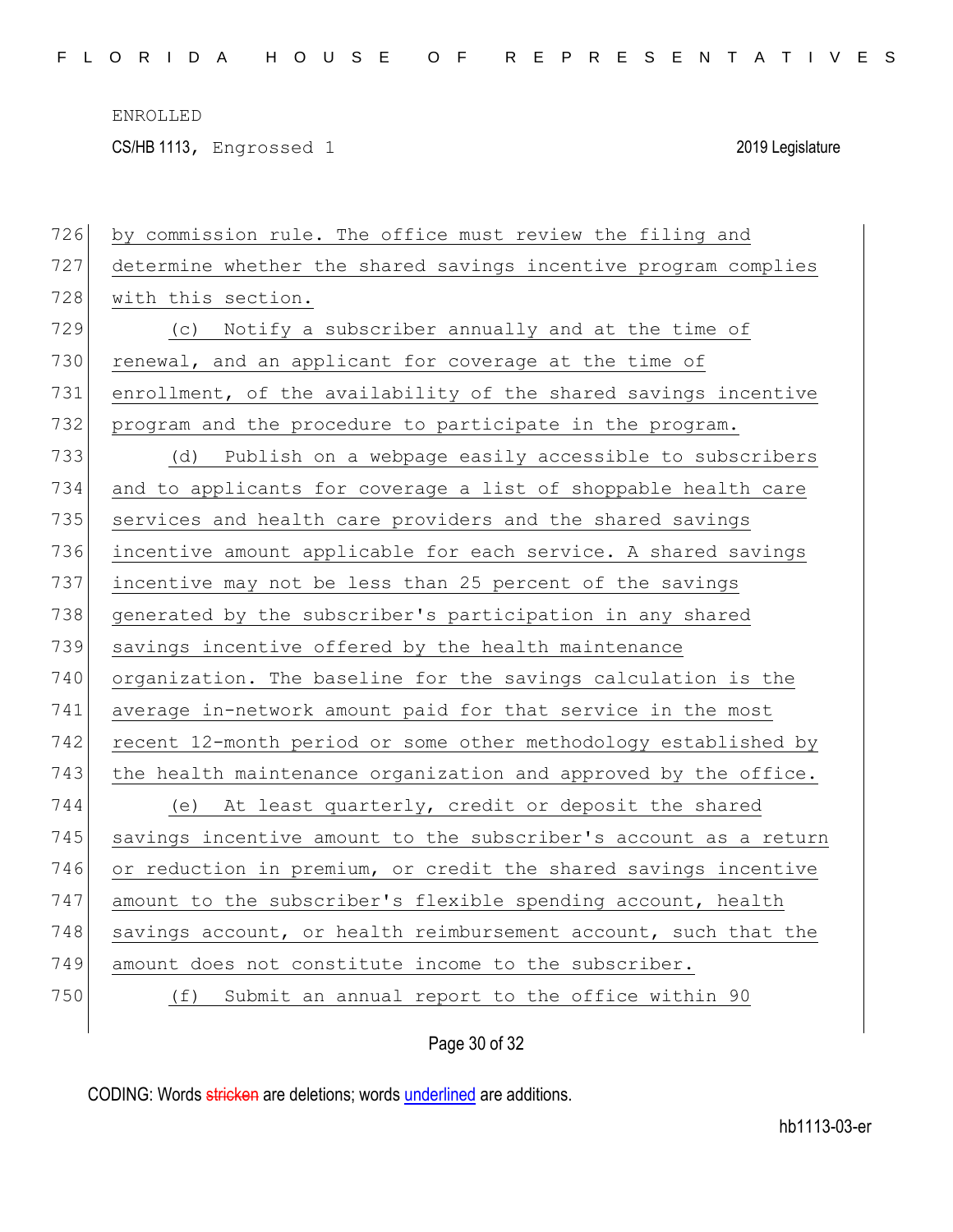CS/HB 1113, Engrossed 1 2019 Legislature

| 726 | by commission rule. The office must review the filing and        |
|-----|------------------------------------------------------------------|
| 727 | determine whether the shared savings incentive program complies  |
| 728 | with this section.                                               |
| 729 | (c) Notify a subscriber annually and at the time of              |
| 730 | renewal, and an applicant for coverage at the time of            |
| 731 | enrollment, of the availability of the shared savings incentive  |
| 732 | program and the procedure to participate in the program.         |
| 733 | Publish on a webpage easily accessible to subscribers<br>(d)     |
| 734 | and to applicants for coverage a list of shoppable health care   |
| 735 | services and health care providers and the shared savings        |
| 736 | incentive amount applicable for each service. A shared savings   |
| 737 | incentive may not be less than 25 percent of the savings         |
| 738 | generated by the subscriber's participation in any shared        |
| 739 | savings incentive offered by the health maintenance              |
| 740 | organization. The baseline for the savings calculation is the    |
| 741 | average in-network amount paid for that service in the most      |
| 742 | recent 12-month period or some other methodology established by  |
| 743 | the health maintenance organization and approved by the office.  |
| 744 | (e) At least quarterly, credit or deposit the shared             |
| 745 | savings incentive amount to the subscriber's account as a return |
| 746 | or reduction in premium, or credit the shared savings incentive  |
| 747 | amount to the subscriber's flexible spending account, health     |
| 748 | savings account, or health reimbursement account, such that the  |
| 749 | amount does not constitute income to the subscriber.             |
| 750 | Submit an annual report to the office within 90<br>(f)           |
|     |                                                                  |

# Page 30 of 32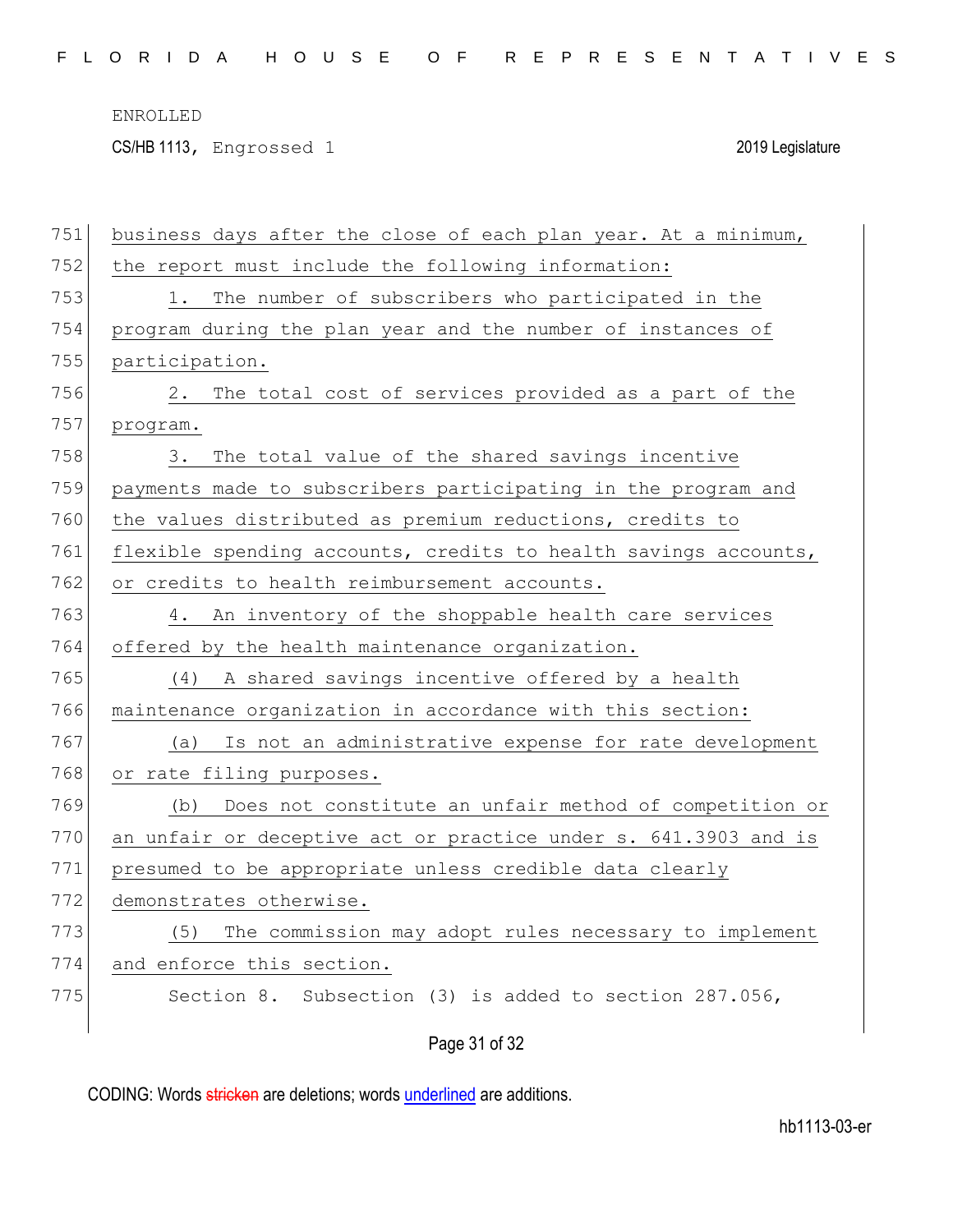CS/HB 1113, Engrossed 1 2019 Legislature

| 751 | business days after the close of each plan year. At a minimum,  |
|-----|-----------------------------------------------------------------|
| 752 | the report must include the following information:              |
| 753 | The number of subscribers who participated in the<br>1.         |
| 754 | program during the plan year and the number of instances of     |
| 755 | participation.                                                  |
| 756 | The total cost of services provided as a part of the<br>2.      |
| 757 | program.                                                        |
| 758 | The total value of the shared savings incentive<br>3.           |
| 759 | payments made to subscribers participating in the program and   |
| 760 | the values distributed as premium reductions, credits to        |
| 761 | flexible spending accounts, credits to health savings accounts, |
| 762 | or credits to health reimbursement accounts.                    |
| 763 | An inventory of the shoppable health care services<br>4.        |
| 764 | offered by the health maintenance organization.                 |
| 765 | A shared savings incentive offered by a health<br>(4)           |
| 766 | maintenance organization in accordance with this section:       |
| 767 | Is not an administrative expense for rate development<br>(a)    |
| 768 | or rate filing purposes.                                        |
| 769 | Does not constitute an unfair method of competition or<br>(b)   |
| 770 | an unfair or deceptive act or practice under s. 641.3903 and is |
| 771 | presumed to be appropriate unless credible data clearly         |
| 772 | demonstrates otherwise.                                         |
| 773 | (5)<br>The commission may adopt rules necessary to implement    |
| 774 | and enforce this section.                                       |
| 775 | Subsection (3) is added to section 287.056,<br>Section 8.       |
|     | Page 31 of 32                                                   |